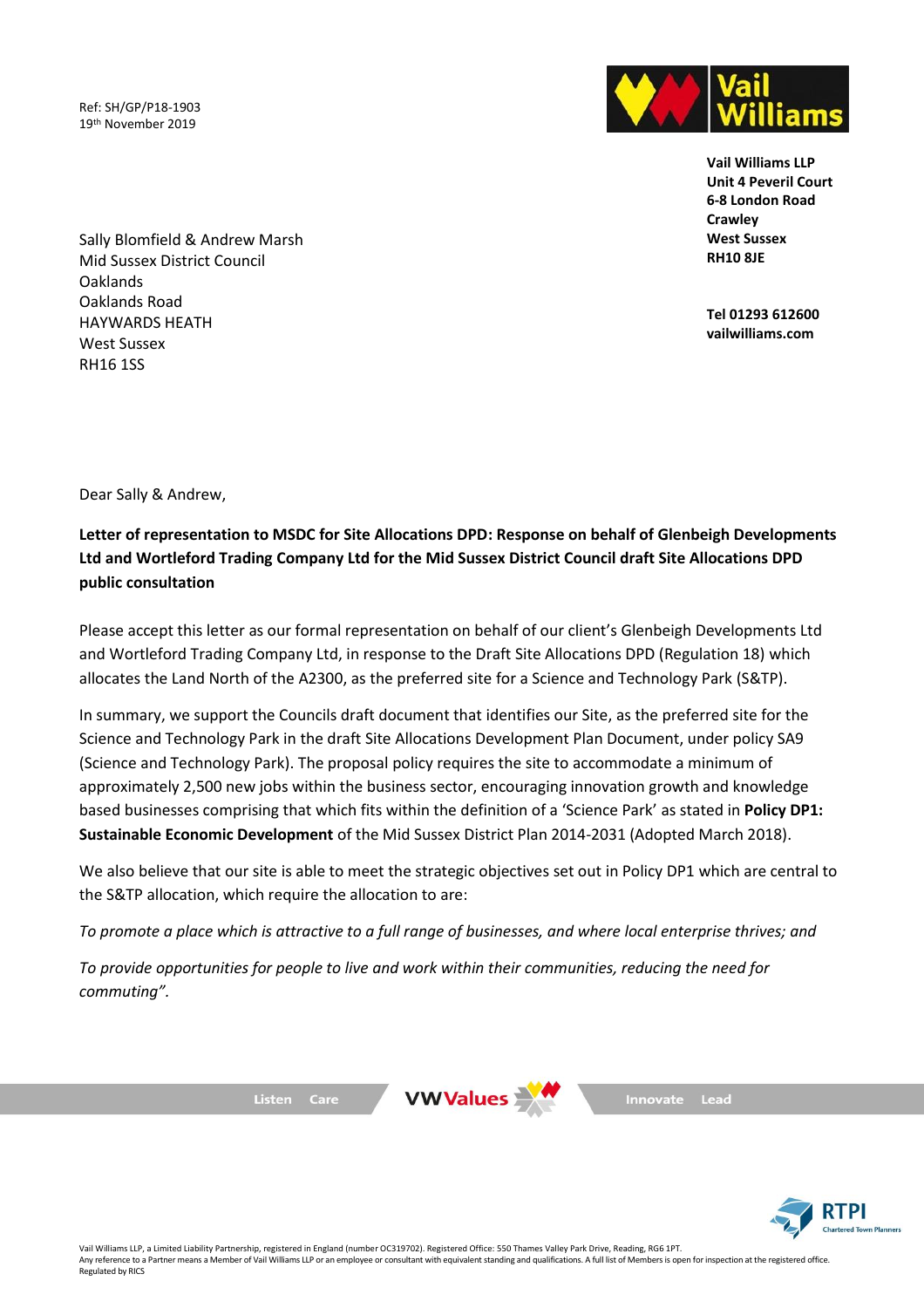Ref: SH/GP/P18-1903 19th November 2019



**Vail Williams LLP Unit 4 Peveril Court 6-8 London Road Crawley West Sussex RH10 8JE**

**Tel 01293 612600 vailwilliams.com**

Sally Blomfield & Andrew Marsh Mid Sussex District Council Oaklands Oaklands Road HAYWARDS HEATH West Sussex RH16 1SS

Dear Sally & Andrew,

**Letter of representation to MSDC for Site Allocations DPD: Response on behalf of Glenbeigh Developments Ltd and Wortleford Trading Company Ltd for the Mid Sussex District Council draft Site Allocations DPD public consultation**

Please accept this letter as our formal representation on behalf of our client's Glenbeigh Developments Ltd and Wortleford Trading Company Ltd, in response to the Draft Site Allocations DPD (Regulation 18) which allocates the Land North of the A2300, as the preferred site for a Science and Technology Park (S&TP).

In summary, we support the Councils draft document that identifies our Site, as the preferred site for the Science and Technology Park in the draft Site Allocations Development Plan Document, under policy SA9 (Science and Technology Park). The proposal policy requires the site to accommodate a minimum of approximately 2,500 new jobs within the business sector, encouraging innovation growth and knowledge based businesses comprising that which fits within the definition of a 'Science Park' as stated in **Policy DP1: Sustainable Economic Development** of the Mid Sussex District Plan 2014-2031 (Adopted March 2018).

We also believe that our site is able to meet the strategic objectives set out in Policy DP1 which are central to the S&TP allocation, which require the allocation to are:

*To promote a place which is attractive to a full range of businesses, and where local enterprise thrives; and* 

*To provide opportunities for people to live and work within their communities, reducing the need for commuting".*

Listen Care



Lead **Innovate** 

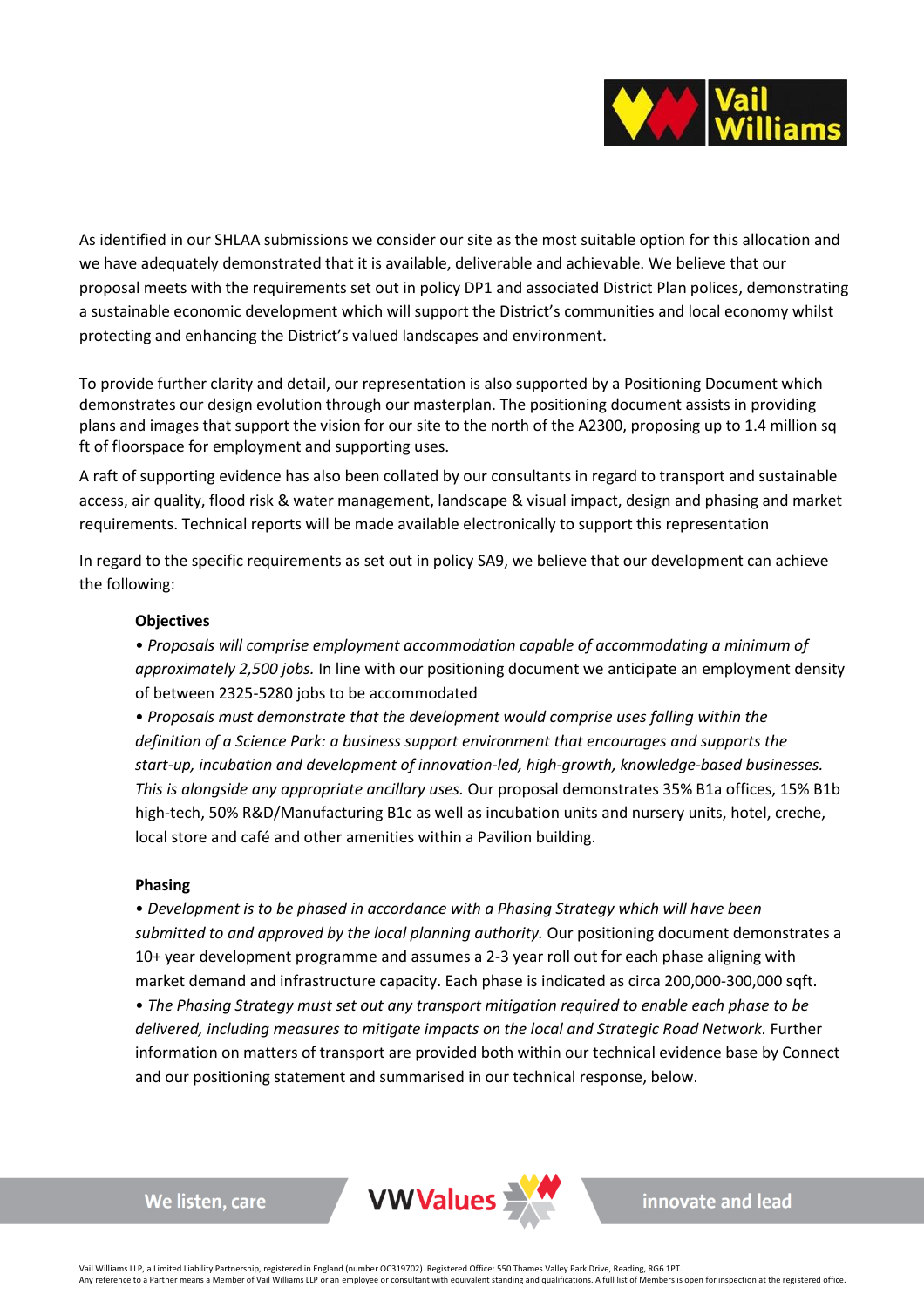

As identified in our SHLAA submissions we consider our site as the most suitable option for this allocation and we have adequately demonstrated that it is available, deliverable and achievable. We believe that our proposal meets with the requirements set out in policy DP1 and associated District Plan polices, demonstrating a sustainable economic development which will support the District's communities and local economy whilst protecting and enhancing the District's valued landscapes and environment.

To provide further clarity and detail, our representation is also supported by a Positioning Document which demonstrates our design evolution through our masterplan. The positioning document assists in providing plans and images that support the vision for our site to the north of the A2300, proposing up to 1.4 million sq ft of floorspace for employment and supporting uses.

A raft of supporting evidence has also been collated by our consultants in regard to transport and sustainable access, air quality, flood risk & water management, landscape & visual impact, design and phasing and market requirements. Technical reports will be made available electronically to support this representation

In regard to the specific requirements as set out in policy SA9, we believe that our development can achieve the following:

### **Objectives**

• *Proposals will comprise employment accommodation capable of accommodating a minimum of approximately 2,500 jobs.* In line with our positioning document we anticipate an employment density of between 2325-5280 jobs to be accommodated

• *Proposals must demonstrate that the development would comprise uses falling within the definition of a Science Park: a business support environment that encourages and supports the start-up, incubation and development of innovation-led, high-growth, knowledge-based businesses. This is alongside any appropriate ancillary uses.* Our proposal demonstrates 35% B1a offices, 15% B1b high-tech, 50% R&D/Manufacturing B1c as well as incubation units and nursery units, hotel, creche, local store and café and other amenities within a Pavilion building.

### **Phasing**

• *Development is to be phased in accordance with a Phasing Strategy which will have been submitted to and approved by the local planning authority.* Our positioning document demonstrates a 10+ year development programme and assumes a 2-3 year roll out for each phase aligning with market demand and infrastructure capacity. Each phase is indicated as circa 200,000-300,000 sqft. • *The Phasing Strategy must set out any transport mitigation required to enable each phase to be delivered, including measures to mitigate impacts on the local and Strategic Road Network.* Further information on matters of transport are provided both within our technical evidence base by Connect and our positioning statement and summarised in our technical response, below.

We listen, care



innovate and lead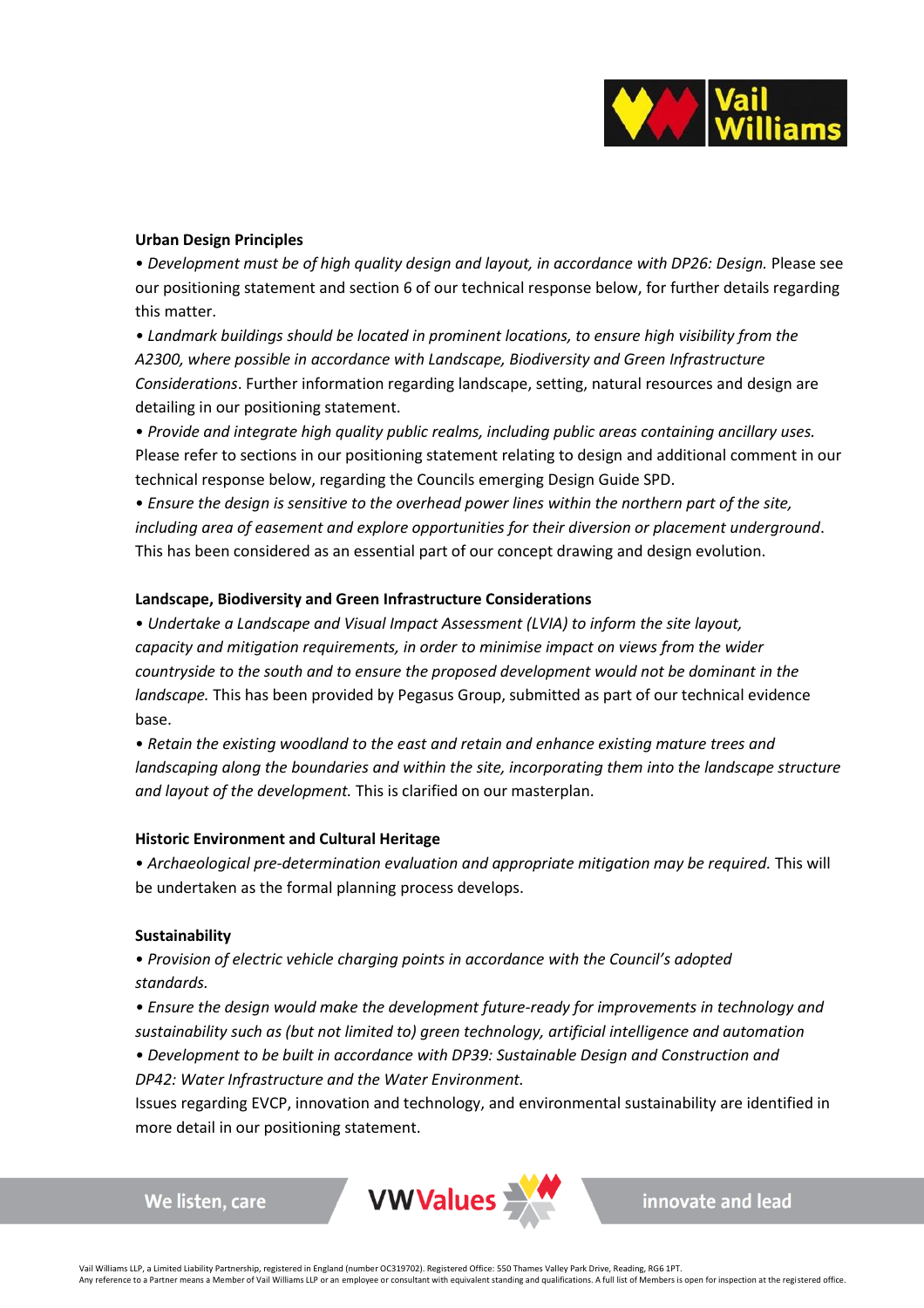

### **Urban Design Principles**

• *Development must be of high quality design and layout, in accordance with DP26: Design.* Please see our positioning statement and section 6 of our technical response below, for further details regarding this matter.

• Landmark buildings should be located in prominent locations, to ensure high visibility from the *A2300, where possible in accordance with Landscape, Biodiversity and Green Infrastructure Considerations*. Further information regarding landscape, setting, natural resources and design are detailing in our positioning statement.

• *Provide and integrate high quality public realms, including public areas containing ancillary uses.* Please refer to sections in our positioning statement relating to design and additional comment in our technical response below, regarding the Councils emerging Design Guide SPD.

• *Ensure the design is sensitive to the overhead power lines within the northern part of the site, including area of easement and explore opportunities for their diversion or placement underground*. This has been considered as an essential part of our concept drawing and design evolution.

### **Landscape, Biodiversity and Green Infrastructure Considerations**

• *Undertake a Landscape and Visual Impact Assessment (LVIA) to inform the site layout, capacity and mitigation requirements, in order to minimise impact on views from the wider countryside to the south and to ensure the proposed development would not be dominant in the landscape.* This has been provided by Pegasus Group, submitted as part of our technical evidence base.

• *Retain the existing woodland to the east and retain and enhance existing mature trees and landscaping along the boundaries and within the site, incorporating them into the landscape structure and layout of the development.* This is clarified on our masterplan.

### **Historic Environment and Cultural Heritage**

• *Archaeological pre-determination evaluation and appropriate mitigation may be required.* This will be undertaken as the formal planning process develops.

### **Sustainability**

We listen, care

• *Provision of electric vehicle charging points in accordance with the Council's adopted standards.*

*• Ensure the design would make the development future-ready for improvements in technology and sustainability such as (but not limited to) green technology, artificial intelligence and automation • Development to be built in accordance with DP39: Sustainable Design and Construction and DP42: Water Infrastructure and the Water Environment.*

Issues regarding EVCP, innovation and technology, and environmental sustainability are identified in more detail in our positioning statement.

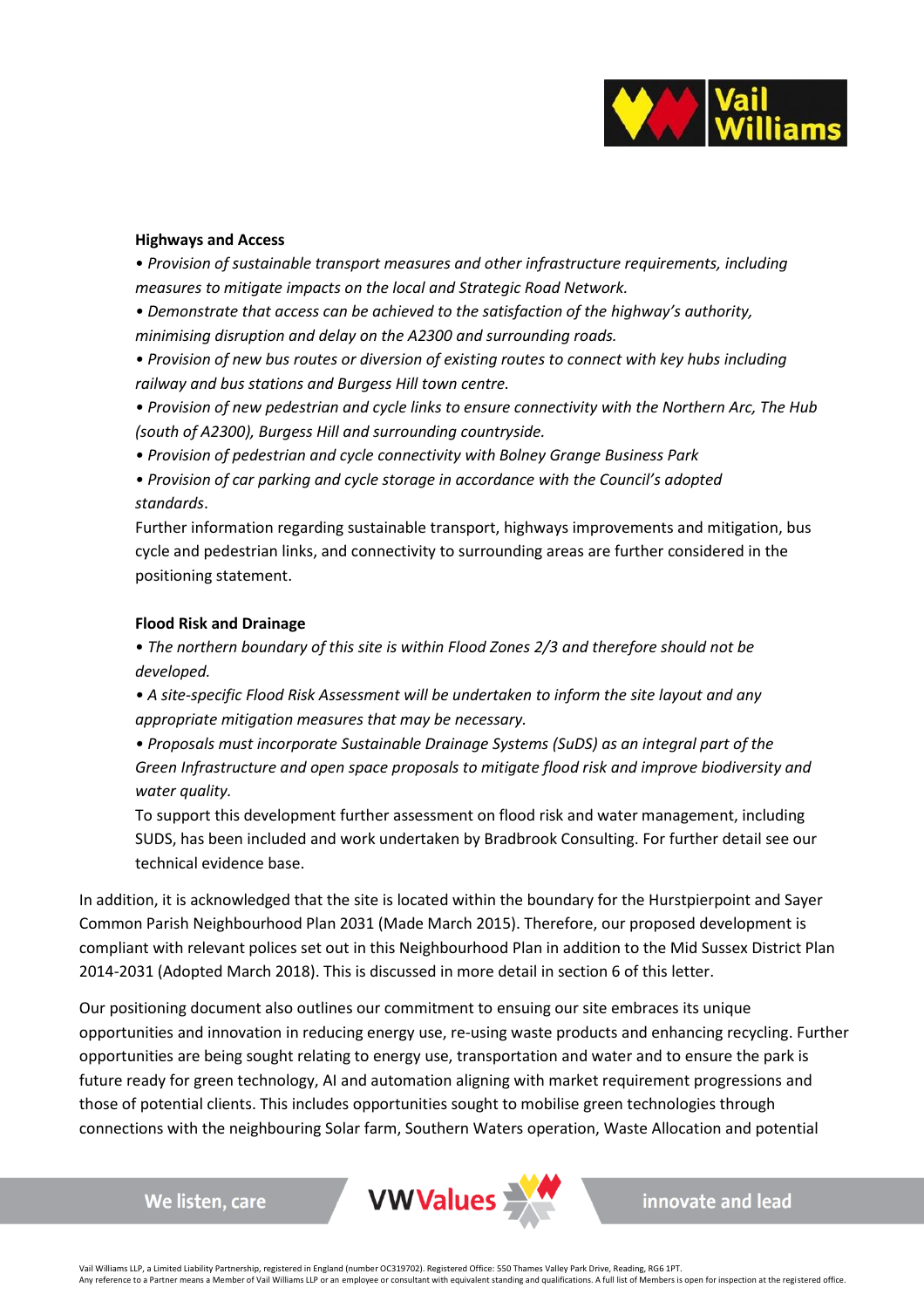

### **Highways and Access**

• *Provision of sustainable transport measures and other infrastructure requirements, including measures to mitigate impacts on the local and Strategic Road Network.*

*• Demonstrate that access can be achieved to the satisfaction of the highway's authority, minimising disruption and delay on the A2300 and surrounding roads.*

*• Provision of new bus routes or diversion of existing routes to connect with key hubs including railway and bus stations and Burgess Hill town centre.*

*• Provision of new pedestrian and cycle links to ensure connectivity with the Northern Arc, The Hub (south of A2300), Burgess Hill and surrounding countryside.*

*• Provision of pedestrian and cycle connectivity with Bolney Grange Business Park*

*• Provision of car parking and cycle storage in accordance with the Council's adopted standards*.

Further information regarding sustainable transport, highways improvements and mitigation, bus cycle and pedestrian links, and connectivity to surrounding areas are further considered in the positioning statement.

# **Flood Risk and Drainage**

We listen, care

• *The northern boundary of this site is within Flood Zones 2/3 and therefore should not be developed.*

*• A site-specific Flood Risk Assessment will be undertaken to inform the site layout and any appropriate mitigation measures that may be necessary.*

*• Proposals must incorporate Sustainable Drainage Systems (SuDS) as an integral part of the Green Infrastructure and open space proposals to mitigate flood risk and improve biodiversity and water quality.*

To support this development further assessment on flood risk and water management, including SUDS, has been included and work undertaken by Bradbrook Consulting. For further detail see our technical evidence base.

In addition, it is acknowledged that the site is located within the boundary for the Hurstpierpoint and Sayer Common Parish Neighbourhood Plan 2031 (Made March 2015). Therefore, our proposed development is compliant with relevant polices set out in this Neighbourhood Plan in addition to the Mid Sussex District Plan 2014-2031 (Adopted March 2018). This is discussed in more detail in section 6 of this letter.

Our positioning document also outlines our commitment to ensuing our site embraces its unique opportunities and innovation in reducing energy use, re-using waste products and enhancing recycling. Further opportunities are being sought relating to energy use, transportation and water and to ensure the park is future ready for green technology, AI and automation aligning with market requirement progressions and those of potential clients. This includes opportunities sought to mobilise green technologies through connections with the neighbouring Solar farm, Southern Waters operation, Waste Allocation and potential



innovate and lead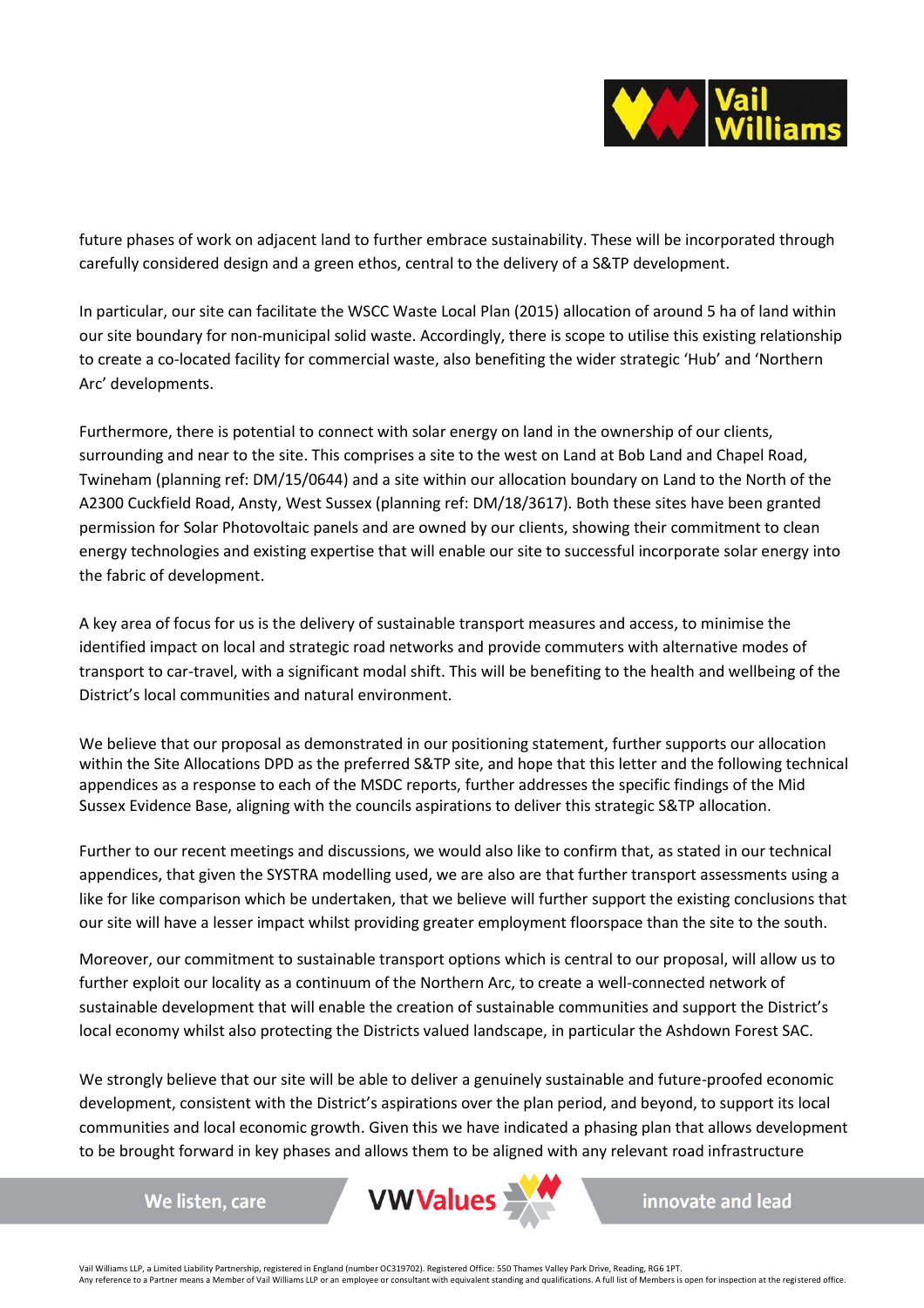

future phases of work on adjacent land to further embrace sustainability. These will be incorporated through carefully considered design and a green ethos, central to the delivery of a S&TP development.

In particular, our site can facilitate the WSCC Waste Local Plan (2015) allocation of around 5 ha of land within our site boundary for non-municipal solid waste. Accordingly, there is scope to utilise this existing relationship to create a co-located facility for commercial waste, also benefiting the wider strategic 'Hub' and 'Northern Arc' developments.

Furthermore, there is potential to connect with solar energy on land in the ownership of our clients, surrounding and near to the site. This comprises a site to the west on Land at Bob Land and Chapel Road, Twineham (planning ref: DM/15/0644) and a site within our allocation boundary on Land to the North of the A2300 Cuckfield Road, Ansty, West Sussex (planning ref: DM/18/3617). Both these sites have been granted permission for Solar Photovoltaic panels and are owned by our clients, showing their commitment to clean energy technologies and existing expertise that will enable our site to successful incorporate solar energy into the fabric of development.

A key area of focus for us is the delivery of sustainable transport measures and access, to minimise the identified impact on local and strategic road networks and provide commuters with alternative modes of transport to car-travel, with a significant modal shift. This will be benefiting to the health and wellbeing of the District's local communities and natural environment.

We believe that our proposal as demonstrated in our positioning statement, further supports our allocation within the Site Allocations DPD as the preferred S&TP site, and hope that this letter and the following technical appendices as a response to each of the MSDC reports, further addresses the specific findings of the Mid Sussex Evidence Base, aligning with the councils aspirations to deliver this strategic S&TP allocation.

Further to our recent meetings and discussions, we would also like to confirm that, as stated in our technical appendices, that given the SYSTRA modelling used, we are also are that further transport assessments using a like for like comparison which be undertaken, that we believe will further support the existing conclusions that our site will have a lesser impact whilst providing greater employment floorspace than the site to the south.

Moreover, our commitment to sustainable transport options which is central to our proposal, will allow us to further exploit our locality as a continuum of the Northern Arc, to create a well-connected network of sustainable development that will enable the creation of sustainable communities and support the District's local economy whilst also protecting the Districts valued landscape, in particular the Ashdown Forest SAC.

We strongly believe that our site will be able to deliver a genuinely sustainable and future-proofed economic development, consistent with the District's aspirations over the plan period, and beyond, to support its local communities and local economic growth. Given this we have indicated a phasing plan that allows development to be brought forward in key phases and allows them to be aligned with any relevant road infrastructure

We listen, care



innovate and lead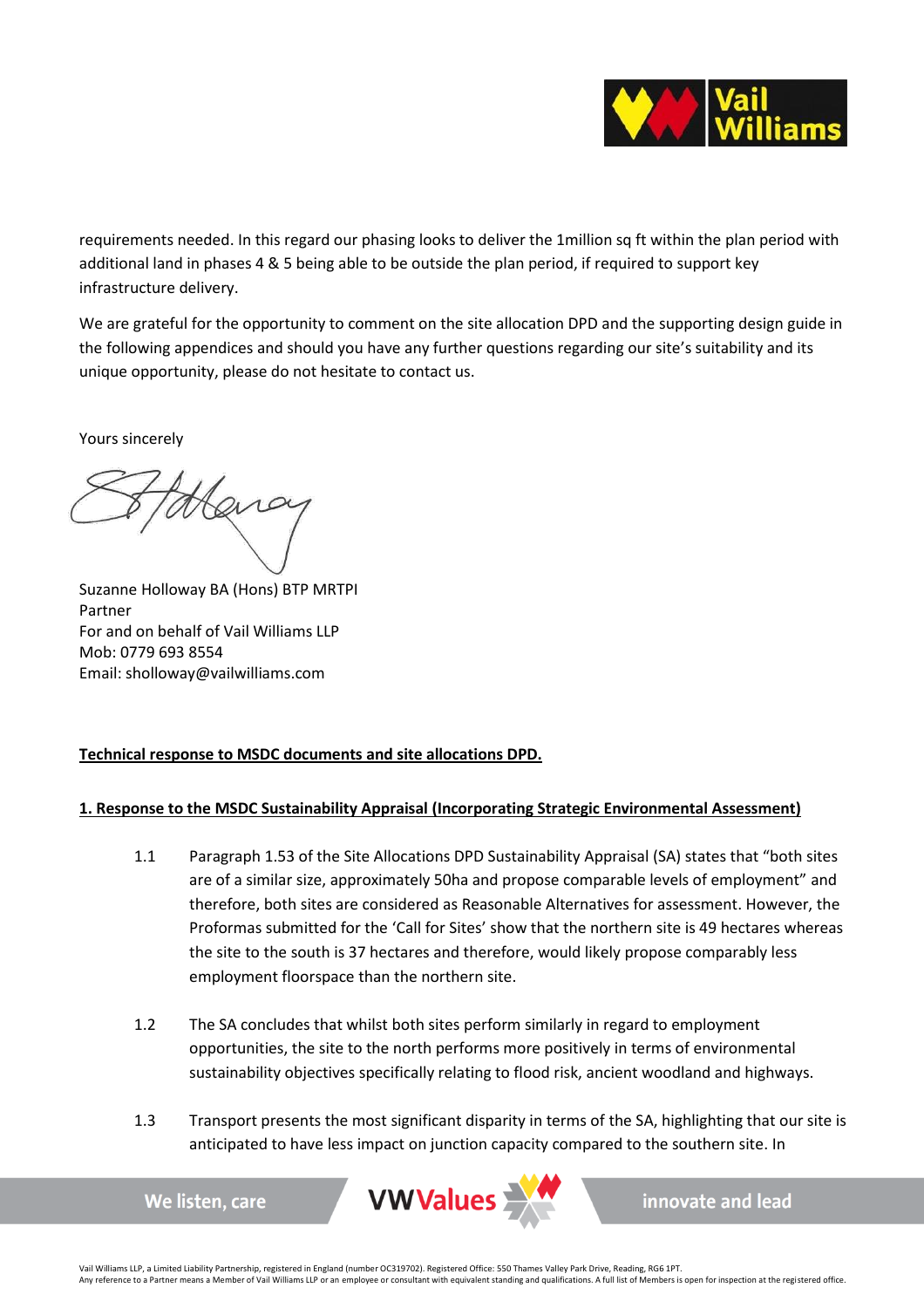

requirements needed. In this regard our phasing looks to deliver the 1million sq ft within the plan period with additional land in phases 4 & 5 being able to be outside the plan period, if required to support key infrastructure delivery.

We are grateful for the opportunity to comment on the site allocation DPD and the supporting design guide in the following appendices and should you have any further questions regarding our site's suitability and its unique opportunity, please do not hesitate to contact us.

Yours sincerely

Suzanne Holloway BA (Hons) BTP MRTPI Partner For and on behalf of Vail Williams LLP Mob: 0779 693 8554 Email: sholloway@vailwilliams.com

We listen, care

# **Technical response to MSDC documents and site allocations DPD.**

# **1. Response to the MSDC Sustainability Appraisal (Incorporating Strategic Environmental Assessment)**

- 1.1 Paragraph 1.53 of the Site Allocations DPD Sustainability Appraisal (SA) states that "both sites are of a similar size, approximately 50ha and propose comparable levels of employment" and therefore, both sites are considered as Reasonable Alternatives for assessment. However, the Proformas submitted for the 'Call for Sites' show that the northern site is 49 hectares whereas the site to the south is 37 hectares and therefore, would likely propose comparably less employment floorspace than the northern site.
- 1.2 The SA concludes that whilst both sites perform similarly in regard to employment opportunities, the site to the north performs more positively in terms of environmental sustainability objectives specifically relating to flood risk, ancient woodland and highways.
- 1.3 Transport presents the most significant disparity in terms of the SA, highlighting that our site is anticipated to have less impact on junction capacity compared to the southern site. In



innovate and lead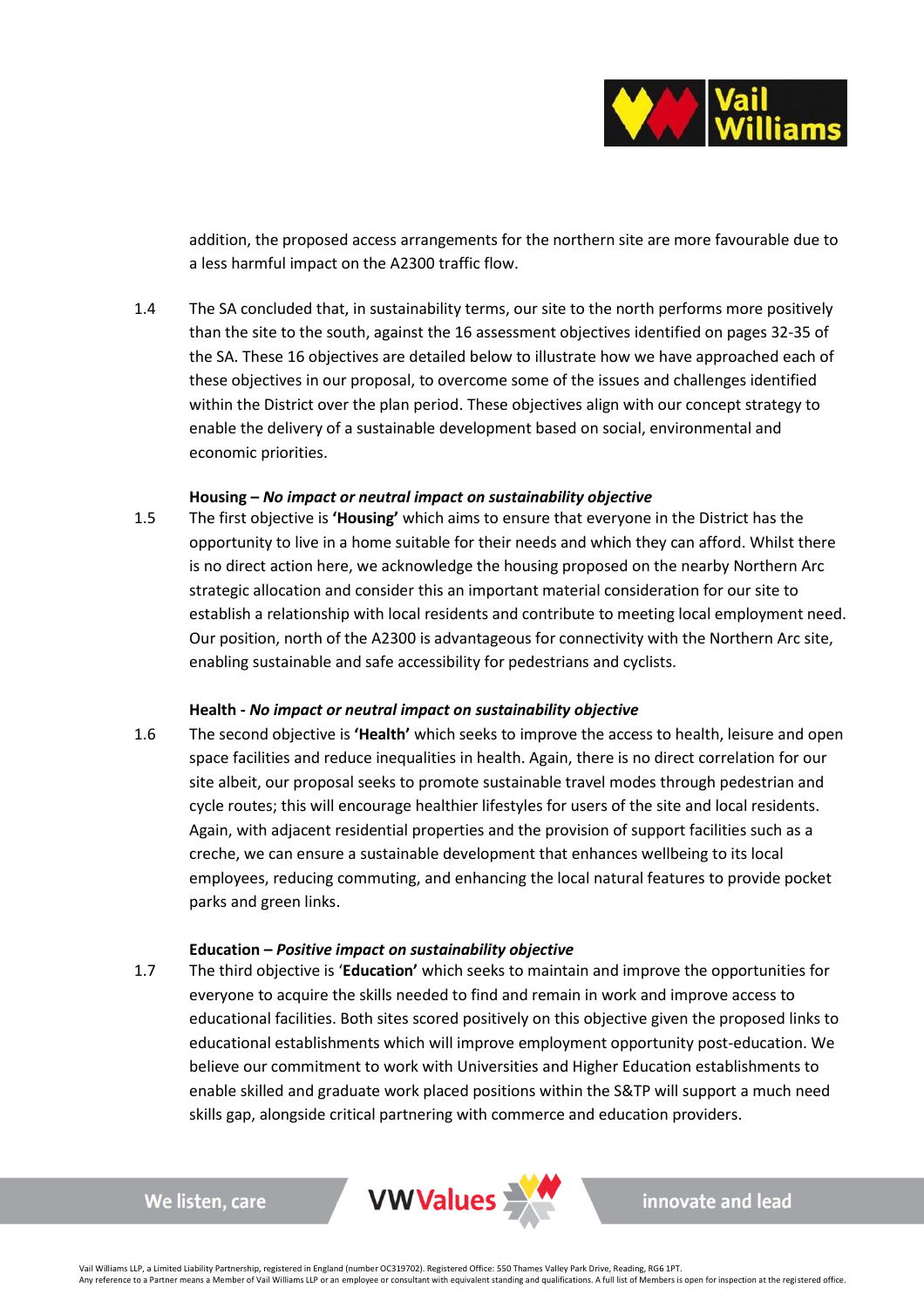

addition, the proposed access arrangements for the northern site are more favourable due to a less harmful impact on the A2300 traffic flow.

1.4 The SA concluded that, in sustainability terms, our site to the north performs more positively than the site to the south, against the 16 assessment objectives identified on pages 32-35 of the SA. These 16 objectives are detailed below to illustrate how we have approached each of these objectives in our proposal, to overcome some of the issues and challenges identified within the District over the plan period. These objectives align with our concept strategy to enable the delivery of a sustainable development based on social, environmental and economic priorities.

### **Housing –** *No impact or neutral impact on sustainability objective*

1.5 The first objective is **'Housing'** which aims to ensure that everyone in the District has the opportunity to live in a home suitable for their needs and which they can afford. Whilst there is no direct action here, we acknowledge the housing proposed on the nearby Northern Arc strategic allocation and consider this an important material consideration for our site to establish a relationship with local residents and contribute to meeting local employment need. Our position, north of the A2300 is advantageous for connectivity with the Northern Arc site, enabling sustainable and safe accessibility for pedestrians and cyclists.

### **Health -** *No impact or neutral impact on sustainability objective*

1.6 The second objective is **'Health'** which seeks to improve the access to health, leisure and open space facilities and reduce inequalities in health. Again, there is no direct correlation for our site albeit, our proposal seeks to promote sustainable travel modes through pedestrian and cycle routes; this will encourage healthier lifestyles for users of the site and local residents. Again, with adjacent residential properties and the provision of support facilities such as a creche, we can ensure a sustainable development that enhances wellbeing to its local employees, reducing commuting, and enhancing the local natural features to provide pocket parks and green links.

### **Education –** *Positive impact on sustainability objective*

1.7 The third objective is '**Education'** which seeks to maintain and improve the opportunities for everyone to acquire the skills needed to find and remain in work and improve access to educational facilities. Both sites scored positively on this objective given the proposed links to educational establishments which will improve employment opportunity post-education. We believe our commitment to work with Universities and Higher Education establishments to enable skilled and graduate work placed positions within the S&TP will support a much need skills gap, alongside critical partnering with commerce and education providers.

We listen, care

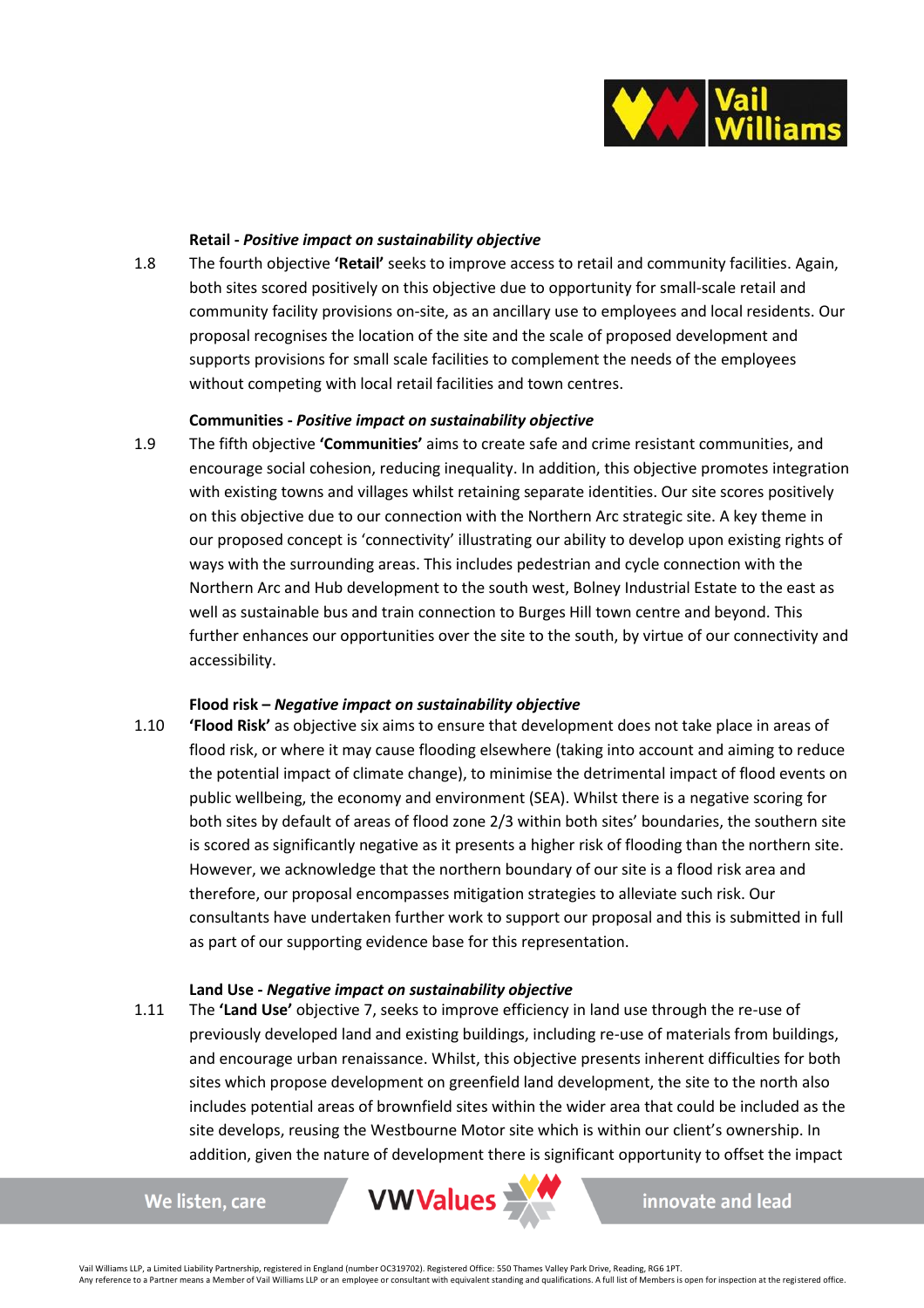

### **Retail -** *Positive impact on sustainability objective*

1.8 The fourth objective **'Retail'** seeks to improve access to retail and community facilities. Again, both sites scored positively on this objective due to opportunity for small-scale retail and community facility provisions on-site, as an ancillary use to employees and local residents. Our proposal recognises the location of the site and the scale of proposed development and supports provisions for small scale facilities to complement the needs of the employees without competing with local retail facilities and town centres.

### **Communities -** *Positive impact on sustainability objective*

1.9 The fifth objective **'Communities'** aims to create safe and crime resistant communities, and encourage social cohesion, reducing inequality. In addition, this objective promotes integration with existing towns and villages whilst retaining separate identities. Our site scores positively on this objective due to our connection with the Northern Arc strategic site. A key theme in our proposed concept is 'connectivity' illustrating our ability to develop upon existing rights of ways with the surrounding areas. This includes pedestrian and cycle connection with the Northern Arc and Hub development to the south west, Bolney Industrial Estate to the east as well as sustainable bus and train connection to Burges Hill town centre and beyond. This further enhances our opportunities over the site to the south, by virtue of our connectivity and accessibility.

### **Flood risk –** *Negative impact on sustainability objective*

1.10 **'Flood Risk'** as objective six aims to ensure that development does not take place in areas of flood risk, or where it may cause flooding elsewhere (taking into account and aiming to reduce the potential impact of climate change), to minimise the detrimental impact of flood events on public wellbeing, the economy and environment (SEA). Whilst there is a negative scoring for both sites by default of areas of flood zone 2/3 within both sites' boundaries, the southern site is scored as significantly negative as it presents a higher risk of flooding than the northern site. However, we acknowledge that the northern boundary of our site is a flood risk area and therefore, our proposal encompasses mitigation strategies to alleviate such risk. Our consultants have undertaken further work to support our proposal and this is submitted in full as part of our supporting evidence base for this representation.

### **Land Use -** *Negative impact on sustainability objective*

1.11 The **'Land Use'** objective 7, seeks to improve efficiency in land use through the re-use of previously developed land and existing buildings, including re-use of materials from buildings, and encourage urban renaissance. Whilst, this objective presents inherent difficulties for both sites which propose development on greenfield land development, the site to the north also includes potential areas of brownfield sites within the wider area that could be included as the site develops, reusing the Westbourne Motor site which is within our client's ownership. In addition, given the nature of development there is significant opportunity to offset the impact

We listen, care

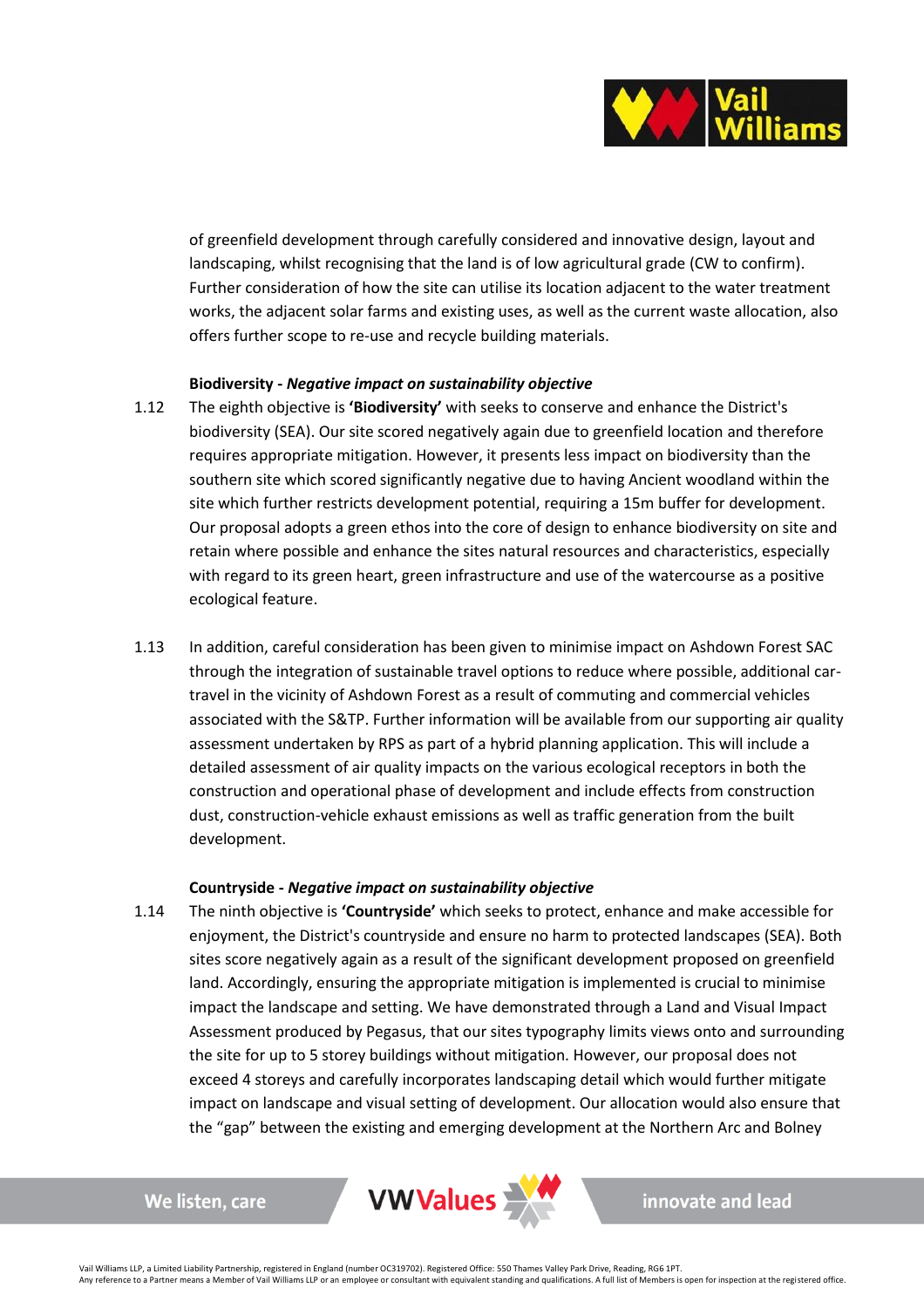

of greenfield development through carefully considered and innovative design, layout and landscaping, whilst recognising that the land is of low agricultural grade (CW to confirm). Further consideration of how the site can utilise its location adjacent to the water treatment works, the adjacent solar farms and existing uses, as well as the current waste allocation, also offers further scope to re-use and recycle building materials.

### **Biodiversity -** *Negative impact on sustainability objective*

- 1.12 The eighth objective is **'Biodiversity'** with seeks to conserve and enhance the District's biodiversity (SEA). Our site scored negatively again due to greenfield location and therefore requires appropriate mitigation. However, it presents less impact on biodiversity than the southern site which scored significantly negative due to having Ancient woodland within the site which further restricts development potential, requiring a 15m buffer for development. Our proposal adopts a green ethos into the core of design to enhance biodiversity on site and retain where possible and enhance the sites natural resources and characteristics, especially with regard to its green heart, green infrastructure and use of the watercourse as a positive ecological feature.
- 1.13 In addition, careful consideration has been given to minimise impact on Ashdown Forest SAC through the integration of sustainable travel options to reduce where possible, additional cartravel in the vicinity of Ashdown Forest as a result of commuting and commercial vehicles associated with the S&TP. Further information will be available from our supporting air quality assessment undertaken by RPS as part of a hybrid planning application. This will include a detailed assessment of air quality impacts on the various ecological receptors in both the construction and operational phase of development and include effects from construction dust, construction-vehicle exhaust emissions as well as traffic generation from the built development.

### **Countryside -** *Negative impact on sustainability objective*

1.14 The ninth objective is **'Countryside'** which seeks to protect, enhance and make accessible for enjoyment, the District's countryside and ensure no harm to protected landscapes (SEA). Both sites score negatively again as a result of the significant development proposed on greenfield land. Accordingly, ensuring the appropriate mitigation is implemented is crucial to minimise impact the landscape and setting. We have demonstrated through a Land and Visual Impact Assessment produced by Pegasus, that our sites typography limits views onto and surrounding the site for up to 5 storey buildings without mitigation. However, our proposal does not exceed 4 storeys and carefully incorporates landscaping detail which would further mitigate impact on landscape and visual setting of development. Our allocation would also ensure that the "gap" between the existing and emerging development at the Northern Arc and Bolney

```
We listen, care
```
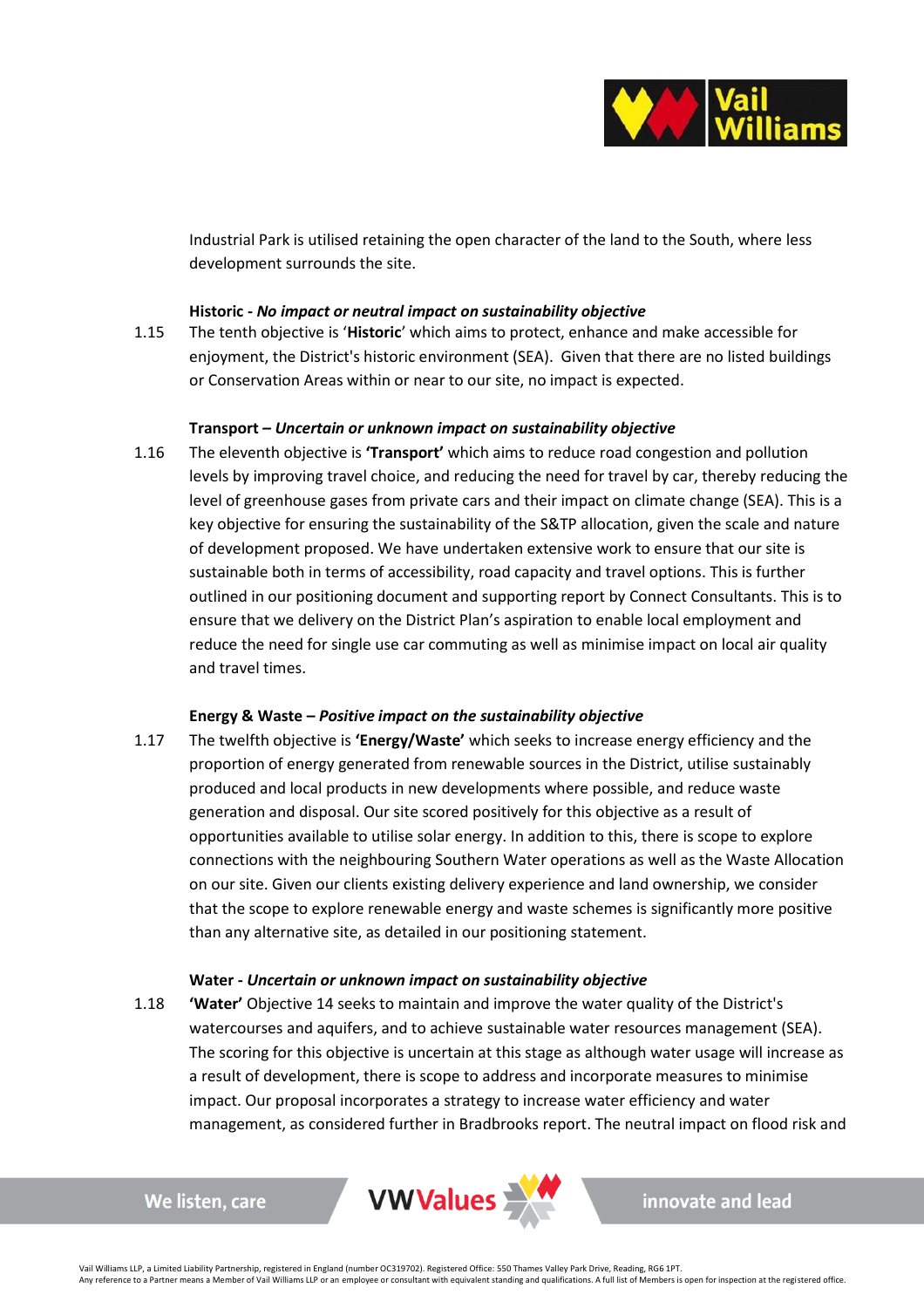

Industrial Park is utilised retaining the open character of the land to the South, where less development surrounds the site.

### **Historic -** *No impact or neutral impact on sustainability objective*

1.15 The tenth objective is '**Historic**' which aims to protect, enhance and make accessible for enjoyment, the District's historic environment (SEA). Given that there are no listed buildings or Conservation Areas within or near to our site, no impact is expected.

### **Transport** *– Uncertain or unknown impact on sustainability objective*

1.16 The eleventh objective is **'Transport'** which aims to reduce road congestion and pollution levels by improving travel choice, and reducing the need for travel by car, thereby reducing the level of greenhouse gases from private cars and their impact on climate change (SEA). This is a key objective for ensuring the sustainability of the S&TP allocation, given the scale and nature of development proposed. We have undertaken extensive work to ensure that our site is sustainable both in terms of accessibility, road capacity and travel options. This is further outlined in our positioning document and supporting report by Connect Consultants. This is to ensure that we delivery on the District Plan's aspiration to enable local employment and reduce the need for single use car commuting as well as minimise impact on local air quality and travel times.

### **Energy & Waste –** *Positive impact on the sustainability objective*

1.17 The twelfth objective is **'Energy/Waste'** which seeks to increase energy efficiency and the proportion of energy generated from renewable sources in the District, utilise sustainably produced and local products in new developments where possible, and reduce waste generation and disposal. Our site scored positively for this objective as a result of opportunities available to utilise solar energy. In addition to this, there is scope to explore connections with the neighbouring Southern Water operations as well as the Waste Allocation on our site. Given our clients existing delivery experience and land ownership, we consider that the scope to explore renewable energy and waste schemes is significantly more positive than any alternative site, as detailed in our positioning statement.

### **Water -** *Uncertain or unknown impact on sustainability objective*

1.18 **'Water'** Objective 14 seeks to maintain and improve the water quality of the District's watercourses and aquifers, and to achieve sustainable water resources management (SEA). The scoring for this objective is uncertain at this stage as although water usage will increase as a result of development, there is scope to address and incorporate measures to minimise impact. Our proposal incorporates a strategy to increase water efficiency and water management, as considered further in Bradbrooks report. The neutral impact on flood risk and

```
VWValues
```
We listen, care

innovate and lead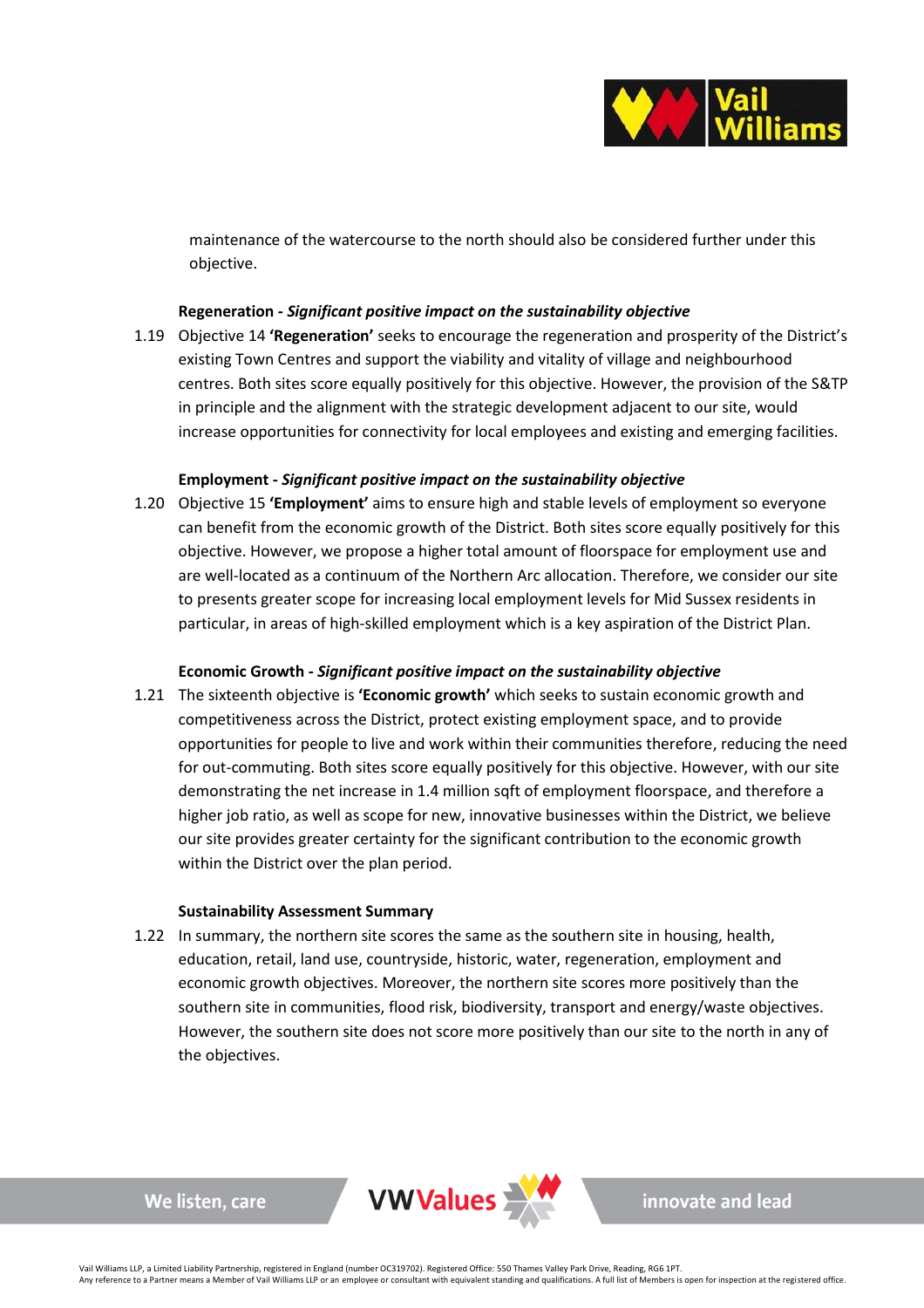

maintenance of the watercourse to the north should also be considered further under this objective.

# **Regeneration -** *Significant positive impact on the sustainability objective*

1.19 Objective 14 **'Regeneration'** seeks to encourage the regeneration and prosperity of the District's existing Town Centres and support the viability and vitality of village and neighbourhood centres. Both sites score equally positively for this objective. However, the provision of the S&TP in principle and the alignment with the strategic development adjacent to our site, would increase opportunities for connectivity for local employees and existing and emerging facilities.

### **Employment -** *Significant positive impact on the sustainability objective*

1.20 Objective 15 **'Employment'** aims to ensure high and stable levels of employment so everyone can benefit from the economic growth of the District. Both sites score equally positively for this objective. However, we propose a higher total amount of floorspace for employment use and are well-located as a continuum of the Northern Arc allocation. Therefore, we consider our site to presents greater scope for increasing local employment levels for Mid Sussex residents in particular, in areas of high-skilled employment which is a key aspiration of the District Plan.

# **Economic Growth -** *Significant positive impact on the sustainability objective*

1.21 The sixteenth objective is **'Economic growth'** which seeks to sustain economic growth and competitiveness across the District, protect existing employment space, and to provide opportunities for people to live and work within their communities therefore, reducing the need for out-commuting. Both sites score equally positively for this objective. However, with our site demonstrating the net increase in 1.4 million sqft of employment floorspace, and therefore a higher job ratio, as well as scope for new, innovative businesses within the District, we believe our site provides greater certainty for the significant contribution to the economic growth within the District over the plan period.

### **Sustainability Assessment Summary**

We listen, care

1.22 In summary, the northern site scores the same as the southern site in housing, health, education, retail, land use, countryside, historic, water, regeneration, employment and economic growth objectives. Moreover, the northern site scores more positively than the southern site in communities, flood risk, biodiversity, transport and energy/waste objectives. However, the southern site does not score more positively than our site to the north in any of the objectives.



innovate and lead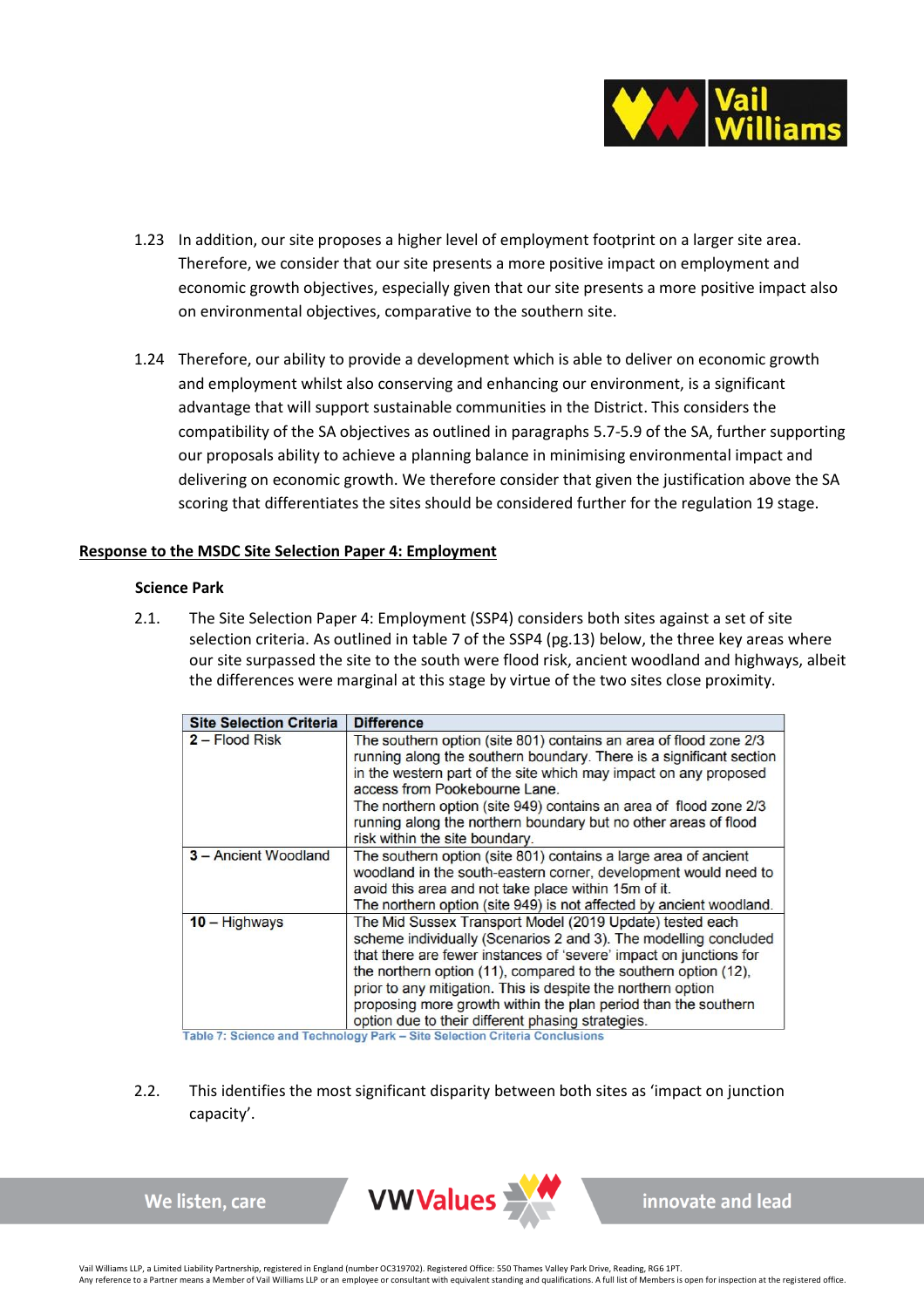

- 1.23 In addition, our site proposes a higher level of employment footprint on a larger site area. Therefore, we consider that our site presents a more positive impact on employment and economic growth objectives, especially given that our site presents a more positive impact also on environmental objectives, comparative to the southern site.
- 1.24 Therefore, our ability to provide a development which is able to deliver on economic growth and employment whilst also conserving and enhancing our environment, is a significant advantage that will support sustainable communities in the District. This considers the compatibility of the SA objectives as outlined in paragraphs 5.7-5.9 of the SA, further supporting our proposals ability to achieve a planning balance in minimising environmental impact and delivering on economic growth. We therefore consider that given the justification above the SA scoring that differentiates the sites should be considered further for the regulation 19 stage.

### **Response to the MSDC Site Selection Paper 4: Employment**

### **Science Park**

2.1. The Site Selection Paper 4: Employment (SSP4) considers both sites against a set of site selection criteria. As outlined in table 7 of the SSP4 (pg.13) below, the three key areas where our site surpassed the site to the south were flood risk, ancient woodland and highways, albeit the differences were marginal at this stage by virtue of the two sites close proximity.

| <b>Site Selection Criteria</b> | <b>Difference</b>                                                                                                                                                                                                                                                                                                                                                                                                                                            |
|--------------------------------|--------------------------------------------------------------------------------------------------------------------------------------------------------------------------------------------------------------------------------------------------------------------------------------------------------------------------------------------------------------------------------------------------------------------------------------------------------------|
| 2 - Flood Risk                 | The southern option (site 801) contains an area of flood zone 2/3<br>running along the southern boundary. There is a significant section<br>in the western part of the site which may impact on any proposed<br>access from Pookebourne Lane.<br>The northern option (site 949) contains an area of flood zone 2/3<br>running along the northern boundary but no other areas of flood<br>risk within the site boundary.                                      |
| 3 - Ancient Woodland           | The southern option (site 801) contains a large area of ancient<br>woodland in the south-eastern corner, development would need to<br>avoid this area and not take place within 15m of it.<br>The northern option (site 949) is not affected by ancient woodland.                                                                                                                                                                                            |
| $10 -$ Highways                | The Mid Sussex Transport Model (2019 Update) tested each<br>scheme individually (Scenarios 2 and 3). The modelling concluded<br>that there are fewer instances of 'severe' impact on junctions for<br>the northern option (11), compared to the southern option (12),<br>prior to any mitigation. This is despite the northern option<br>proposing more growth within the plan period than the southern<br>option due to their different phasing strategies. |

Table 7: Science and Technology Park - Site Selection Criteria Conclusions

2.2. This identifies the most significant disparity between both sites as 'impact on junction capacity'.



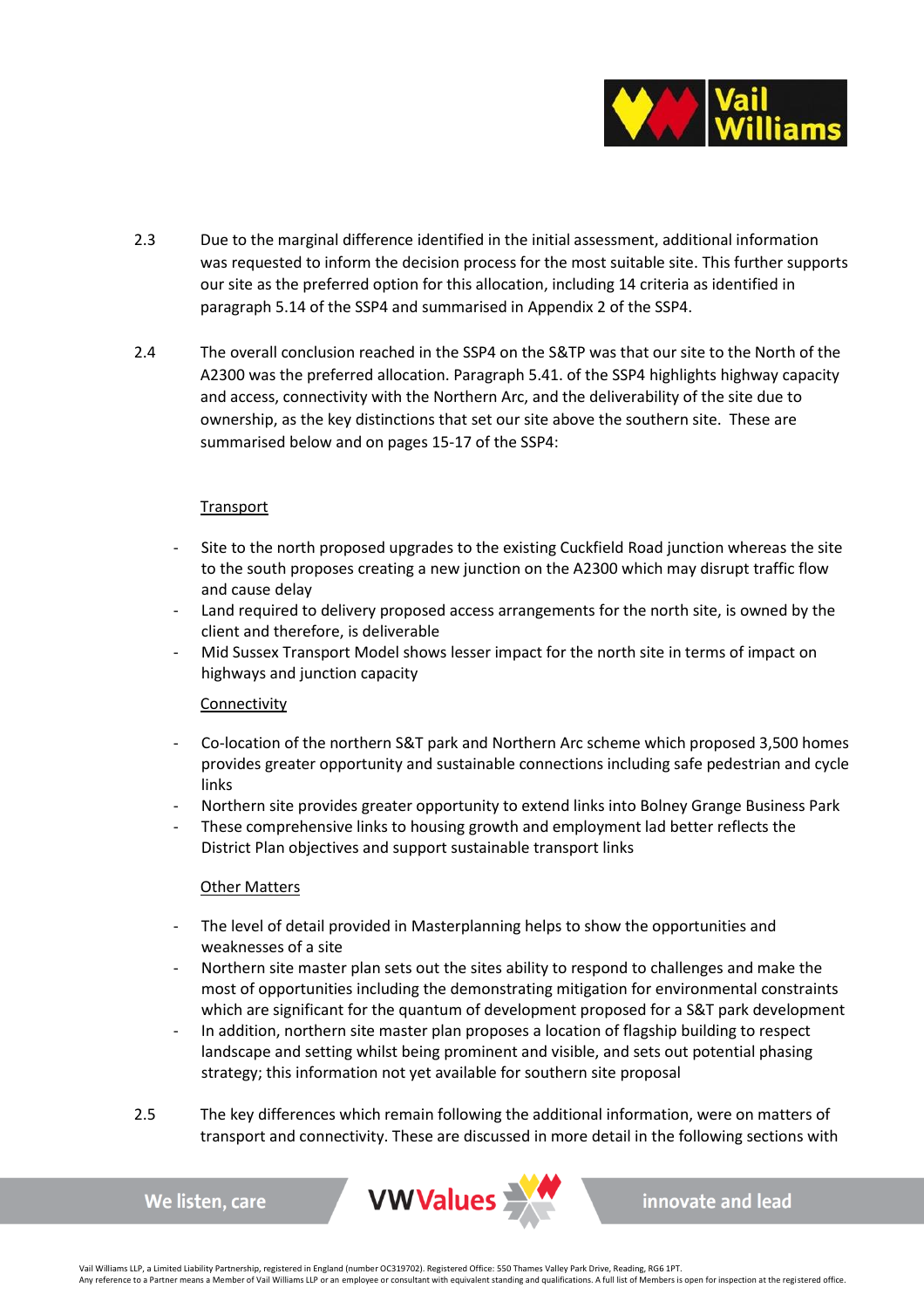

- 2.3 Due to the marginal difference identified in the initial assessment, additional information was requested to inform the decision process for the most suitable site. This further supports our site as the preferred option for this allocation, including 14 criteria as identified in paragraph 5.14 of the SSP4 and summarised in Appendix 2 of the SSP4.
- 2.4 The overall conclusion reached in the SSP4 on the S&TP was that our site to the North of the A2300 was the preferred allocation. Paragraph 5.41. of the SSP4 highlights highway capacity and access, connectivity with the Northern Arc, and the deliverability of the site due to ownership, as the key distinctions that set our site above the southern site. These are summarised below and on pages 15-17 of the SSP4:

# **Transport**

- Site to the north proposed upgrades to the existing Cuckfield Road junction whereas the site to the south proposes creating a new junction on the A2300 which may disrupt traffic flow and cause delay
- Land required to delivery proposed access arrangements for the north site, is owned by the client and therefore, is deliverable
- Mid Sussex Transport Model shows lesser impact for the north site in terms of impact on highways and junction capacity

# **Connectivity**

- Co-location of the northern S&T park and Northern Arc scheme which proposed 3,500 homes provides greater opportunity and sustainable connections including safe pedestrian and cycle links
- Northern site provides greater opportunity to extend links into Bolney Grange Business Park
- These comprehensive links to housing growth and employment lad better reflects the District Plan objectives and support sustainable transport links

# Other Matters

We listen, care

- The level of detail provided in Masterplanning helps to show the opportunities and weaknesses of a site
- Northern site master plan sets out the sites ability to respond to challenges and make the most of opportunities including the demonstrating mitigation for environmental constraints which are significant for the quantum of development proposed for a S&T park development
- In addition, northern site master plan proposes a location of flagship building to respect landscape and setting whilst being prominent and visible, and sets out potential phasing strategy; this information not yet available for southern site proposal
- 2.5 The key differences which remain following the additional information, were on matters of transport and connectivity. These are discussed in more detail in the following sections with

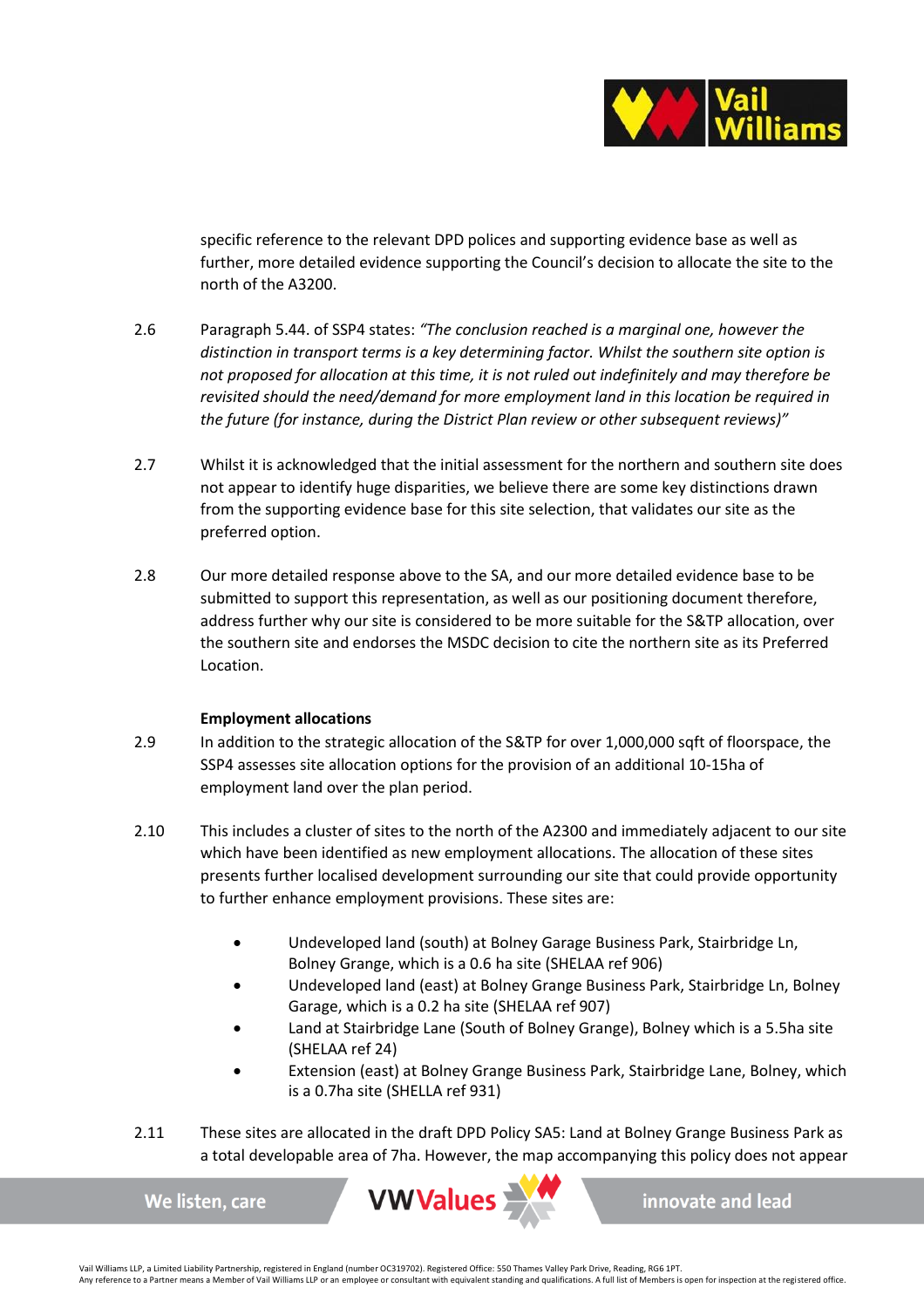

specific reference to the relevant DPD polices and supporting evidence base as well as further, more detailed evidence supporting the Council's decision to allocate the site to the north of the A3200.

- 2.6 Paragraph 5.44. of SSP4 states: *"The conclusion reached is a marginal one, however the distinction in transport terms is a key determining factor. Whilst the southern site option is not proposed for allocation at this time, it is not ruled out indefinitely and may therefore be revisited should the need/demand for more employment land in this location be required in the future (for instance, during the District Plan review or other subsequent reviews)"*
- 2.7 Whilst it is acknowledged that the initial assessment for the northern and southern site does not appear to identify huge disparities, we believe there are some key distinctions drawn from the supporting evidence base for this site selection, that validates our site as the preferred option.
- 2.8 Our more detailed response above to the SA, and our more detailed evidence base to be submitted to support this representation, as well as our positioning document therefore, address further why our site is considered to be more suitable for the S&TP allocation, over the southern site and endorses the MSDC decision to cite the northern site as its Preferred Location.

# **Employment allocations**

- 2.9 In addition to the strategic allocation of the S&TP for over 1,000,000 sqft of floorspace, the SSP4 assesses site allocation options for the provision of an additional 10-15ha of employment land over the plan period.
- 2.10 This includes a cluster of sites to the north of the A2300 and immediately adjacent to our site which have been identified as new employment allocations. The allocation of these sites presents further localised development surrounding our site that could provide opportunity to further enhance employment provisions. These sites are:
	- Undeveloped land (south) at Bolney Garage Business Park, Stairbridge Ln, Bolney Grange, which is a 0.6 ha site (SHELAA ref 906)
	- Undeveloped land (east) at Bolney Grange Business Park, Stairbridge Ln, Bolney Garage, which is a 0.2 ha site (SHELAA ref 907)
	- Land at Stairbridge Lane (South of Bolney Grange), Bolney which is a 5.5ha site (SHELAA ref 24)
	- Extension (east) at Bolney Grange Business Park, Stairbridge Lane, Bolney, which is a 0.7ha site (SHELLA ref 931)
- 2.11 These sites are allocated in the draft DPD Policy SA5: Land at Bolney Grange Business Park as a total developable area of 7ha. However, the map accompanying this policy does not appear

We listen, care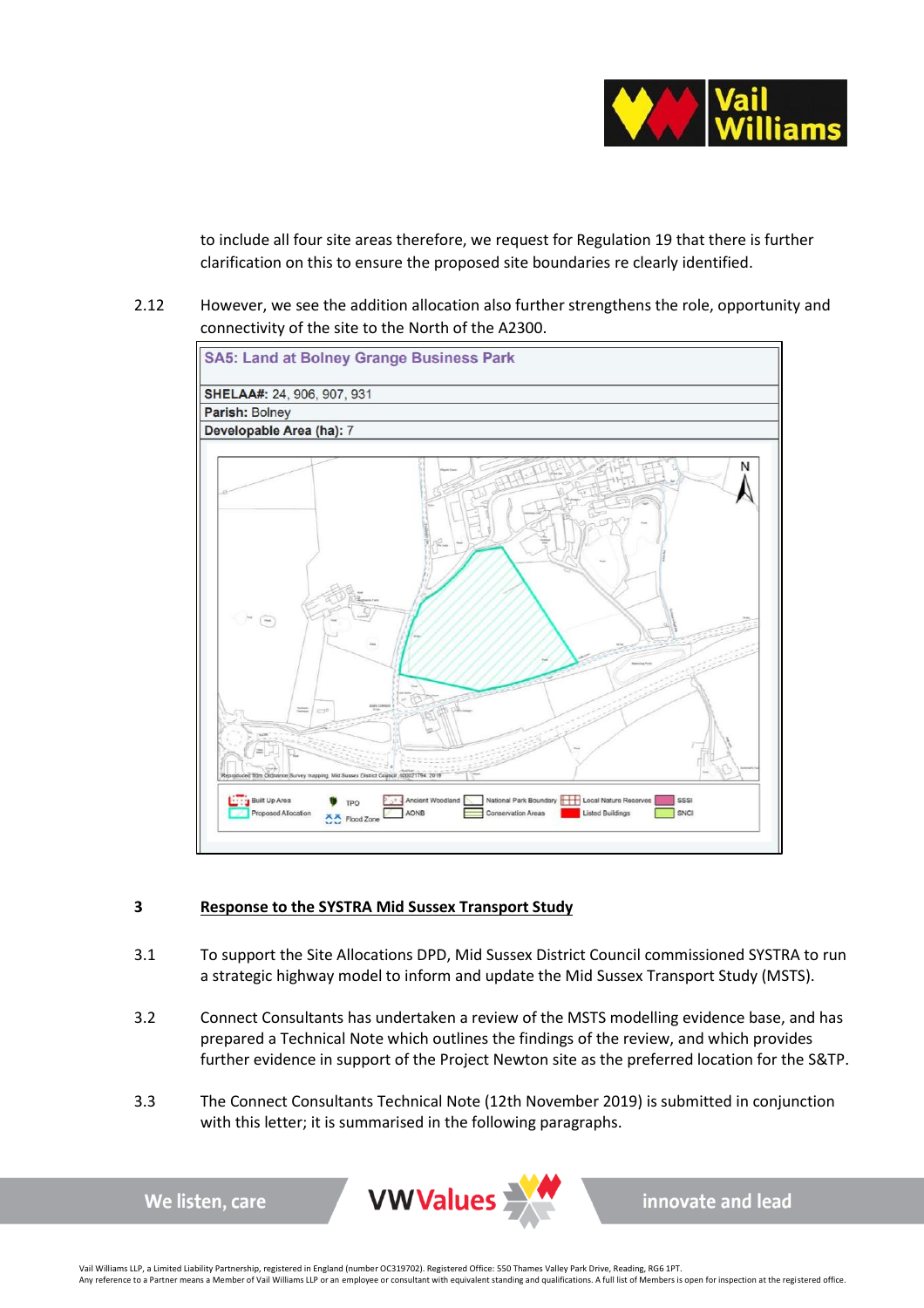

to include all four site areas therefore, we request for Regulation 19 that there is further clarification on this to ensure the proposed site boundaries re clearly identified.

2.12 However, we see the addition allocation also further strengthens the role, opportunity and connectivity of the site to the North of the A2300.



# **3 Response to the SYSTRA Mid Sussex Transport Study**

- 3.1 To support the Site Allocations DPD, Mid Sussex District Council commissioned SYSTRA to run a strategic highway model to inform and update the Mid Sussex Transport Study (MSTS).
- 3.2 Connect Consultants has undertaken a review of the MSTS modelling evidence base, and has prepared a Technical Note which outlines the findings of the review, and which provides further evidence in support of the Project Newton site as the preferred location for the S&TP.
- 3.3 The Connect Consultants Technical Note (12th November 2019) is submitted in conjunction with this letter; it is summarised in the following paragraphs.

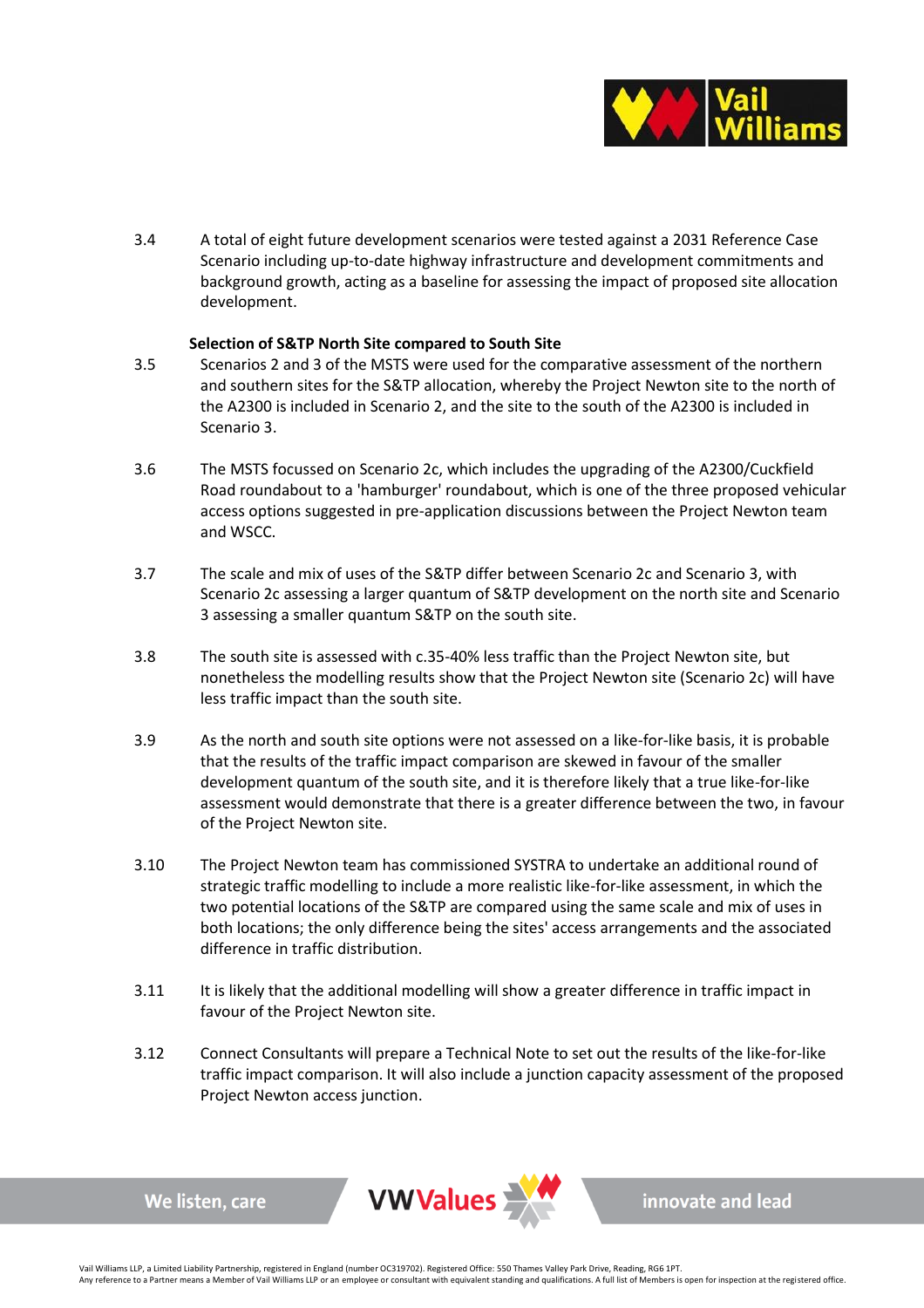

3.4 A total of eight future development scenarios were tested against a 2031 Reference Case Scenario including up-to-date highway infrastructure and development commitments and background growth, acting as a baseline for assessing the impact of proposed site allocation development.

### **Selection of S&TP North Site compared to South Site**

- 3.5 Scenarios 2 and 3 of the MSTS were used for the comparative assessment of the northern and southern sites for the S&TP allocation, whereby the Project Newton site to the north of the A2300 is included in Scenario 2, and the site to the south of the A2300 is included in Scenario 3.
- 3.6 The MSTS focussed on Scenario 2c, which includes the upgrading of the A2300/Cuckfield Road roundabout to a 'hamburger' roundabout, which is one of the three proposed vehicular access options suggested in pre-application discussions between the Project Newton team and WSCC.
- 3.7 The scale and mix of uses of the S&TP differ between Scenario 2c and Scenario 3, with Scenario 2c assessing a larger quantum of S&TP development on the north site and Scenario 3 assessing a smaller quantum S&TP on the south site.
- 3.8 The south site is assessed with c.35-40% less traffic than the Project Newton site, but nonetheless the modelling results show that the Project Newton site (Scenario 2c) will have less traffic impact than the south site.
- 3.9 As the north and south site options were not assessed on a like-for-like basis, it is probable that the results of the traffic impact comparison are skewed in favour of the smaller development quantum of the south site, and it is therefore likely that a true like-for-like assessment would demonstrate that there is a greater difference between the two, in favour of the Project Newton site.
- 3.10 The Project Newton team has commissioned SYSTRA to undertake an additional round of strategic traffic modelling to include a more realistic like-for-like assessment, in which the two potential locations of the S&TP are compared using the same scale and mix of uses in both locations; the only difference being the sites' access arrangements and the associated difference in traffic distribution.
- 3.11 It is likely that the additional modelling will show a greater difference in traffic impact in favour of the Project Newton site.
- 3.12 Connect Consultants will prepare a Technical Note to set out the results of the like-for-like traffic impact comparison. It will also include a junction capacity assessment of the proposed Project Newton access junction.



We listen, care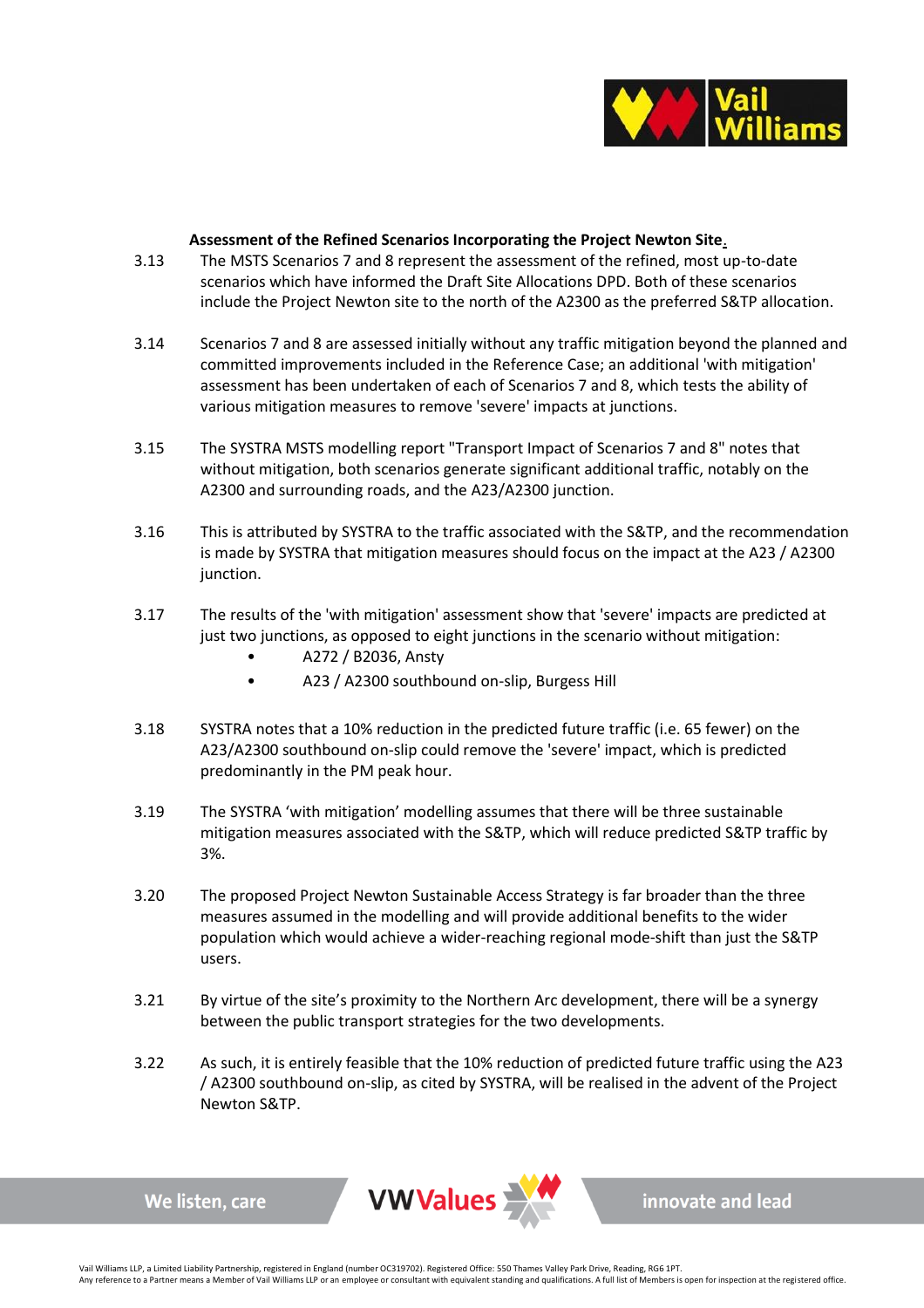

### **Assessment of the Refined Scenarios Incorporating the Project Newton Site**.

- 3.13 The MSTS Scenarios 7 and 8 represent the assessment of the refined, most up-to-date scenarios which have informed the Draft Site Allocations DPD. Both of these scenarios include the Project Newton site to the north of the A2300 as the preferred S&TP allocation.
- 3.14 Scenarios 7 and 8 are assessed initially without any traffic mitigation beyond the planned and committed improvements included in the Reference Case; an additional 'with mitigation' assessment has been undertaken of each of Scenarios 7 and 8, which tests the ability of various mitigation measures to remove 'severe' impacts at junctions.
- 3.15 The SYSTRA MSTS modelling report "Transport Impact of Scenarios 7 and 8" notes that without mitigation, both scenarios generate significant additional traffic, notably on the A2300 and surrounding roads, and the A23/A2300 junction.
- 3.16 This is attributed by SYSTRA to the traffic associated with the S&TP, and the recommendation is made by SYSTRA that mitigation measures should focus on the impact at the A23 / A2300 junction.
- 3.17 The results of the 'with mitigation' assessment show that 'severe' impacts are predicted at just two junctions, as opposed to eight junctions in the scenario without mitigation:
	- A272 / B2036, Ansty
	- A23 / A2300 southbound on-slip, Burgess Hill
- 3.18 SYSTRA notes that a 10% reduction in the predicted future traffic (i.e. 65 fewer) on the A23/A2300 southbound on-slip could remove the 'severe' impact, which is predicted predominantly in the PM peak hour.
- 3.19 The SYSTRA 'with mitigation' modelling assumes that there will be three sustainable mitigation measures associated with the S&TP, which will reduce predicted S&TP traffic by 3%.
- 3.20 The proposed Project Newton Sustainable Access Strategy is far broader than the three measures assumed in the modelling and will provide additional benefits to the wider population which would achieve a wider-reaching regional mode-shift than just the S&TP users.
- 3.21 By virtue of the site's proximity to the Northern Arc development, there will be a synergy between the public transport strategies for the two developments.
- 3.22 As such, it is entirely feasible that the 10% reduction of predicted future traffic using the A23 / A2300 southbound on-slip, as cited by SYSTRA, will be realised in the advent of the Project Newton S&TP.



We listen, care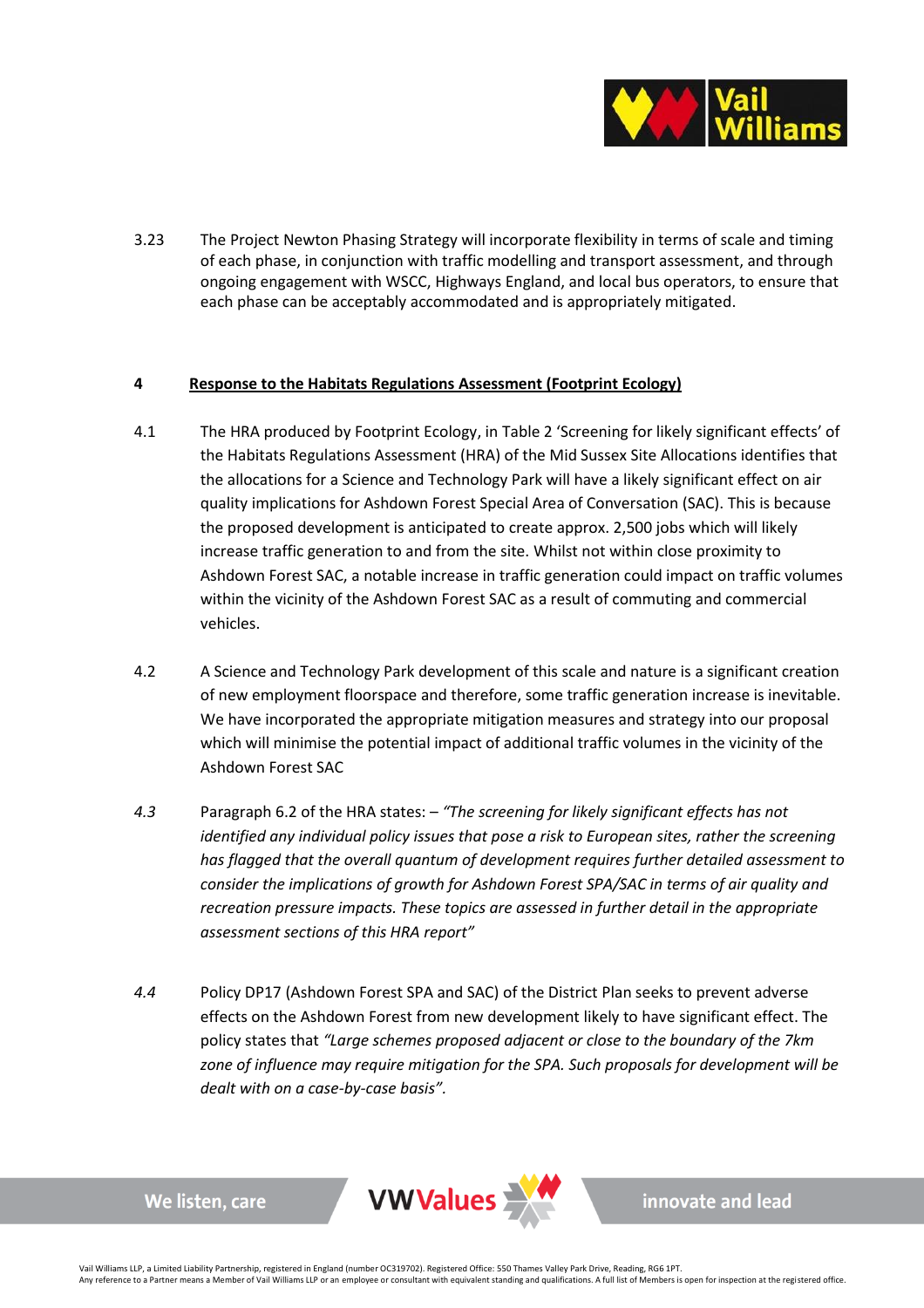

3.23 The Project Newton Phasing Strategy will incorporate flexibility in terms of scale and timing of each phase, in conjunction with traffic modelling and transport assessment, and through ongoing engagement with WSCC, Highways England, and local bus operators, to ensure that each phase can be acceptably accommodated and is appropriately mitigated.

# **4 Response to the Habitats Regulations Assessment (Footprint Ecology)**

- 4.1 The HRA produced by Footprint Ecology, in Table 2 'Screening for likely significant effects' of the Habitats Regulations Assessment (HRA) of the Mid Sussex Site Allocations identifies that the allocations for a Science and Technology Park will have a likely significant effect on air quality implications for Ashdown Forest Special Area of Conversation (SAC). This is because the proposed development is anticipated to create approx. 2,500 jobs which will likely increase traffic generation to and from the site. Whilst not within close proximity to Ashdown Forest SAC, a notable increase in traffic generation could impact on traffic volumes within the vicinity of the Ashdown Forest SAC as a result of commuting and commercial vehicles.
- 4.2 A Science and Technology Park development of this scale and nature is a significant creation of new employment floorspace and therefore, some traffic generation increase is inevitable. We have incorporated the appropriate mitigation measures and strategy into our proposal which will minimise the potential impact of additional traffic volumes in the vicinity of the Ashdown Forest SAC
- *4.3* Paragraph 6.2 of the HRA states: *"The screening for likely significant effects has not identified any individual policy issues that pose a risk to European sites, rather the screening has flagged that the overall quantum of development requires further detailed assessment to consider the implications of growth for Ashdown Forest SPA/SAC in terms of air quality and recreation pressure impacts. These topics are assessed in further detail in the appropriate assessment sections of this HRA report"*
- *4.4* Policy DP17 (Ashdown Forest SPA and SAC) of the District Plan seeks to prevent adverse effects on the Ashdown Forest from new development likely to have significant effect. The policy states that *"Large schemes proposed adjacent or close to the boundary of the 7km zone of influence may require mitigation for the SPA. Such proposals for development will be dealt with on a case-by-case basis".*



We listen, care

innovate and lead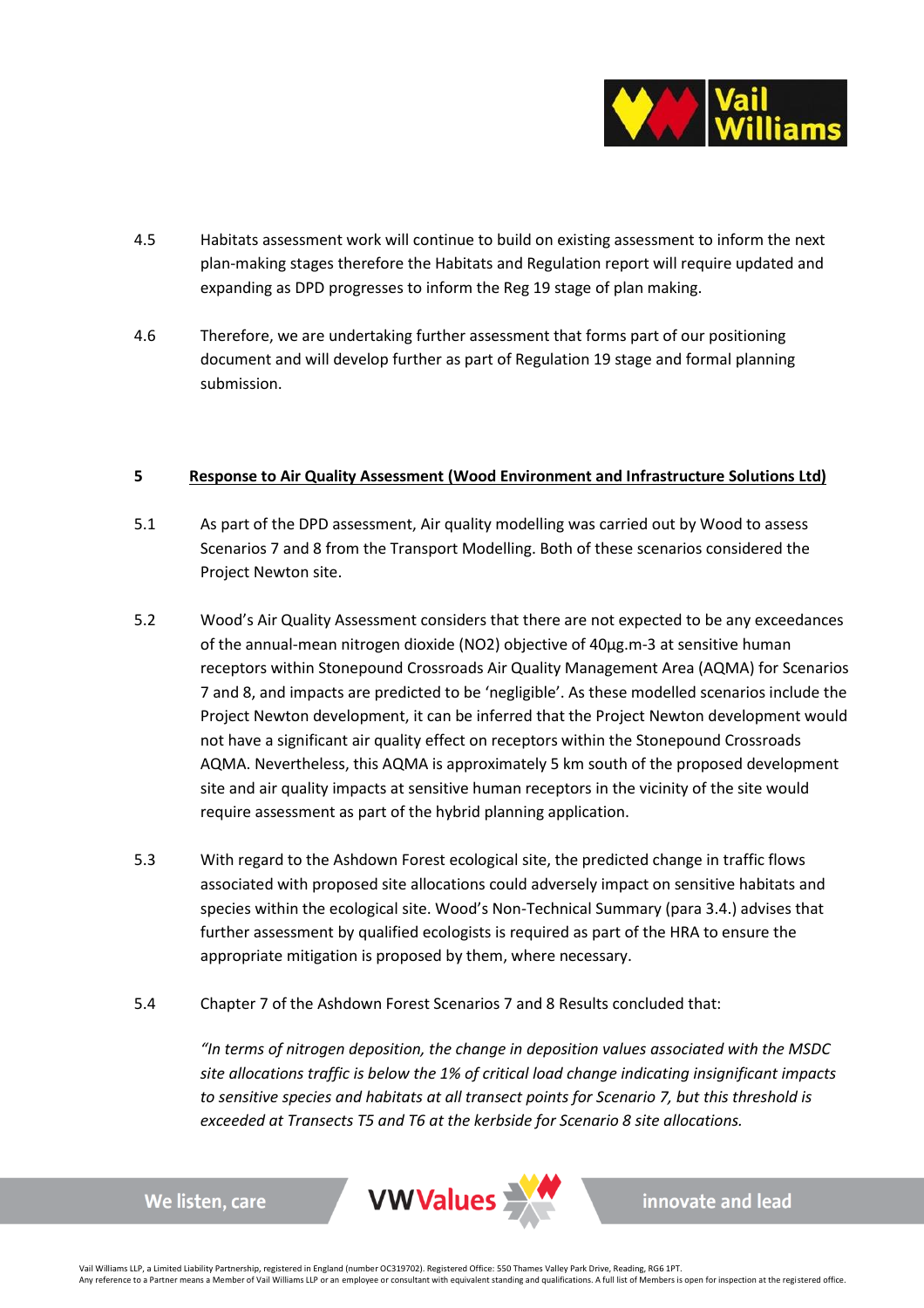

- 4.5 Habitats assessment work will continue to build on existing assessment to inform the next plan-making stages therefore the Habitats and Regulation report will require updated and expanding as DPD progresses to inform the Reg 19 stage of plan making.
- 4.6 Therefore, we are undertaking further assessment that forms part of our positioning document and will develop further as part of Regulation 19 stage and formal planning submission.

### **5 Response to Air Quality Assessment (Wood Environment and Infrastructure Solutions Ltd)**

- 5.1 As part of the DPD assessment, Air quality modelling was carried out by Wood to assess Scenarios 7 and 8 from the Transport Modelling. Both of these scenarios considered the Project Newton site.
- 5.2 Wood's Air Quality Assessment considers that there are not expected to be any exceedances of the annual-mean nitrogen dioxide (NO2) objective of 40µg.m-3 at sensitive human receptors within Stonepound Crossroads Air Quality Management Area (AQMA) for Scenarios 7 and 8, and impacts are predicted to be 'negligible'. As these modelled scenarios include the Project Newton development, it can be inferred that the Project Newton development would not have a significant air quality effect on receptors within the Stonepound Crossroads AQMA. Nevertheless, this AQMA is approximately 5 km south of the proposed development site and air quality impacts at sensitive human receptors in the vicinity of the site would require assessment as part of the hybrid planning application.
- 5.3 With regard to the Ashdown Forest ecological site, the predicted change in traffic flows associated with proposed site allocations could adversely impact on sensitive habitats and species within the ecological site. Wood's Non-Technical Summary (para 3.4.) advises that further assessment by qualified ecologists is required as part of the HRA to ensure the appropriate mitigation is proposed by them, where necessary.
- 5.4 Chapter 7 of the Ashdown Forest Scenarios 7 and 8 Results concluded that:

*"In terms of nitrogen deposition, the change in deposition values associated with the MSDC site allocations traffic is below the 1% of critical load change indicating insignificant impacts to sensitive species and habitats at all transect points for Scenario 7, but this threshold is exceeded at Transects T5 and T6 at the kerbside for Scenario 8 site allocations.* 

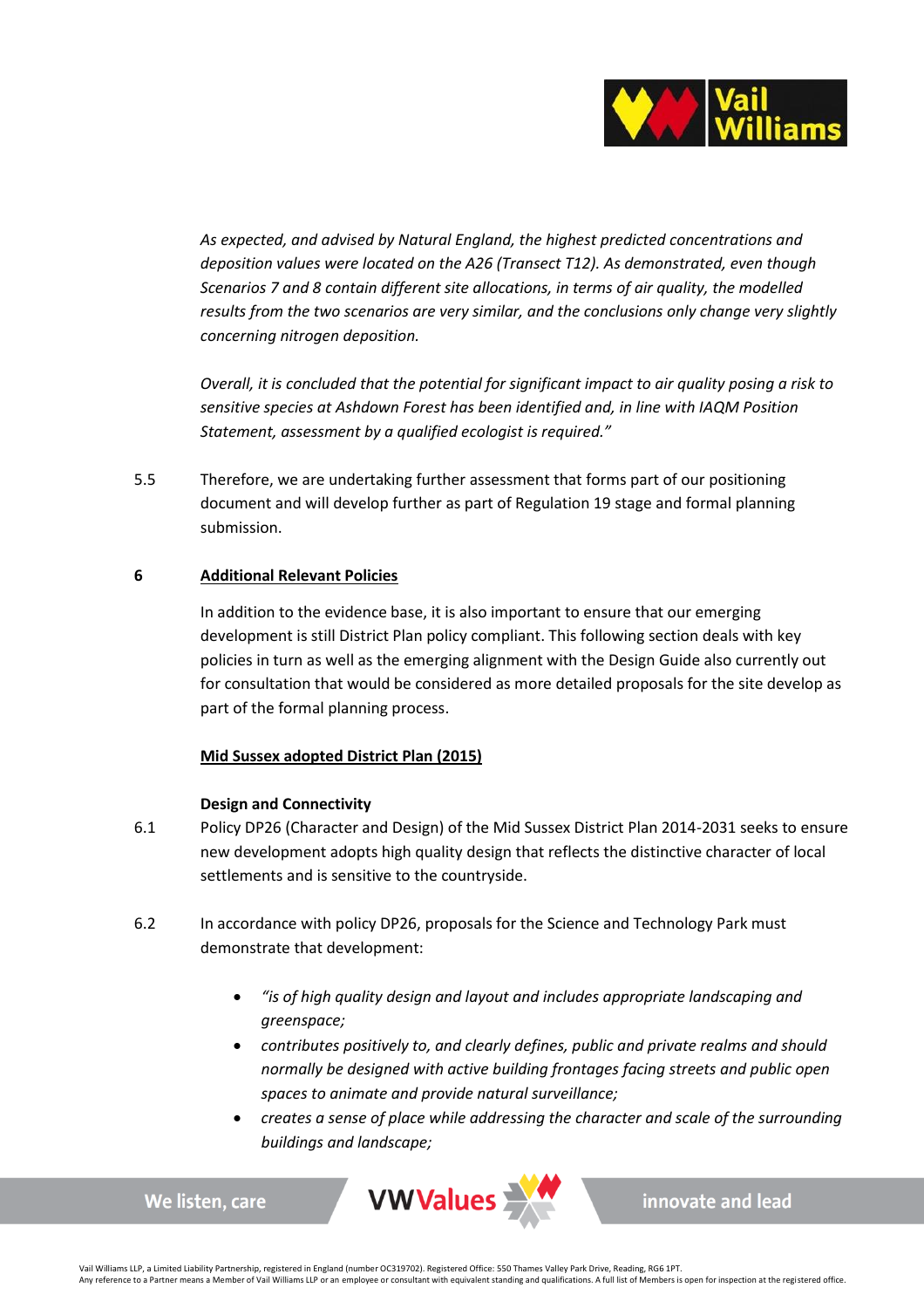

*As expected, and advised by Natural England, the highest predicted concentrations and deposition values were located on the A26 (Transect T12). As demonstrated, even though Scenarios 7 and 8 contain different site allocations, in terms of air quality, the modelled results from the two scenarios are very similar, and the conclusions only change very slightly concerning nitrogen deposition.* 

*Overall, it is concluded that the potential for significant impact to air quality posing a risk to sensitive species at Ashdown Forest has been identified and, in line with IAQM Position Statement, assessment by a qualified ecologist is required."* 

5.5 Therefore, we are undertaking further assessment that forms part of our positioning document and will develop further as part of Regulation 19 stage and formal planning submission.

# **6 Additional Relevant Policies**

In addition to the evidence base, it is also important to ensure that our emerging development is still District Plan policy compliant. This following section deals with key policies in turn as well as the emerging alignment with the Design Guide also currently out for consultation that would be considered as more detailed proposals for the site develop as part of the formal planning process.

# **Mid Sussex adopted District Plan (2015)**

### **Design and Connectivity**

We listen, care

- 6.1 Policy DP26 (Character and Design) of the Mid Sussex District Plan 2014-2031 seeks to ensure new development adopts high quality design that reflects the distinctive character of local settlements and is sensitive to the countryside.
- 6.2 In accordance with policy DP26, proposals for the Science and Technology Park must demonstrate that development:
	- *"is of high quality design and layout and includes appropriate landscaping and greenspace;*
	- *contributes positively to, and clearly defines, public and private realms and should normally be designed with active building frontages facing streets and public open spaces to animate and provide natural surveillance;*
	- *creates a sense of place while addressing the character and scale of the surrounding buildings and landscape;*



innovate and lead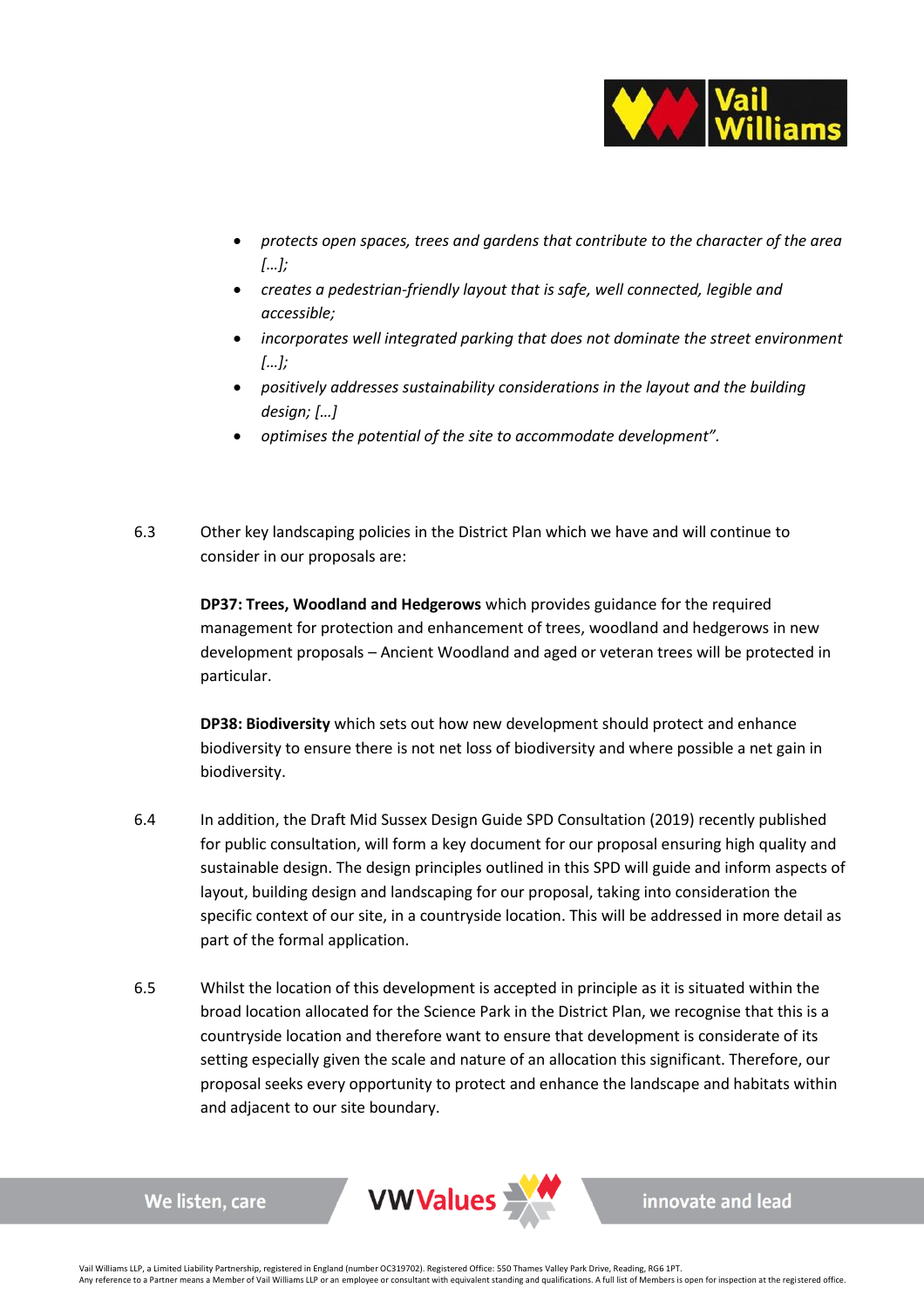

- *protects open spaces, trees and gardens that contribute to the character of the area […];*
- *creates a pedestrian-friendly layout that is safe, well connected, legible and accessible;*
- *incorporates well integrated parking that does not dominate the street environment […];*
- *positively addresses sustainability considerations in the layout and the building design; […]*
- *optimises the potential of the site to accommodate development".*
- 6.3 Other key landscaping policies in the District Plan which we have and will continue to consider in our proposals are:

**DP37: Trees, Woodland and Hedgerows** which provides guidance for the required management for protection and enhancement of trees, woodland and hedgerows in new development proposals – Ancient Woodland and aged or veteran trees will be protected in particular.

**DP38: Biodiversity** which sets out how new development should protect and enhance biodiversity to ensure there is not net loss of biodiversity and where possible a net gain in biodiversity.

- 6.4 In addition, the Draft Mid Sussex Design Guide SPD Consultation (2019) recently published for public consultation, will form a key document for our proposal ensuring high quality and sustainable design. The design principles outlined in this SPD will guide and inform aspects of layout, building design and landscaping for our proposal, taking into consideration the specific context of our site, in a countryside location. This will be addressed in more detail as part of the formal application.
- 6.5 Whilst the location of this development is accepted in principle as it is situated within the broad location allocated for the Science Park in the District Plan, we recognise that this is a countryside location and therefore want to ensure that development is considerate of its setting especially given the scale and nature of an allocation this significant. Therefore, our proposal seeks every opportunity to protect and enhance the landscape and habitats within and adjacent to our site boundary.



We listen, care

innovate and lead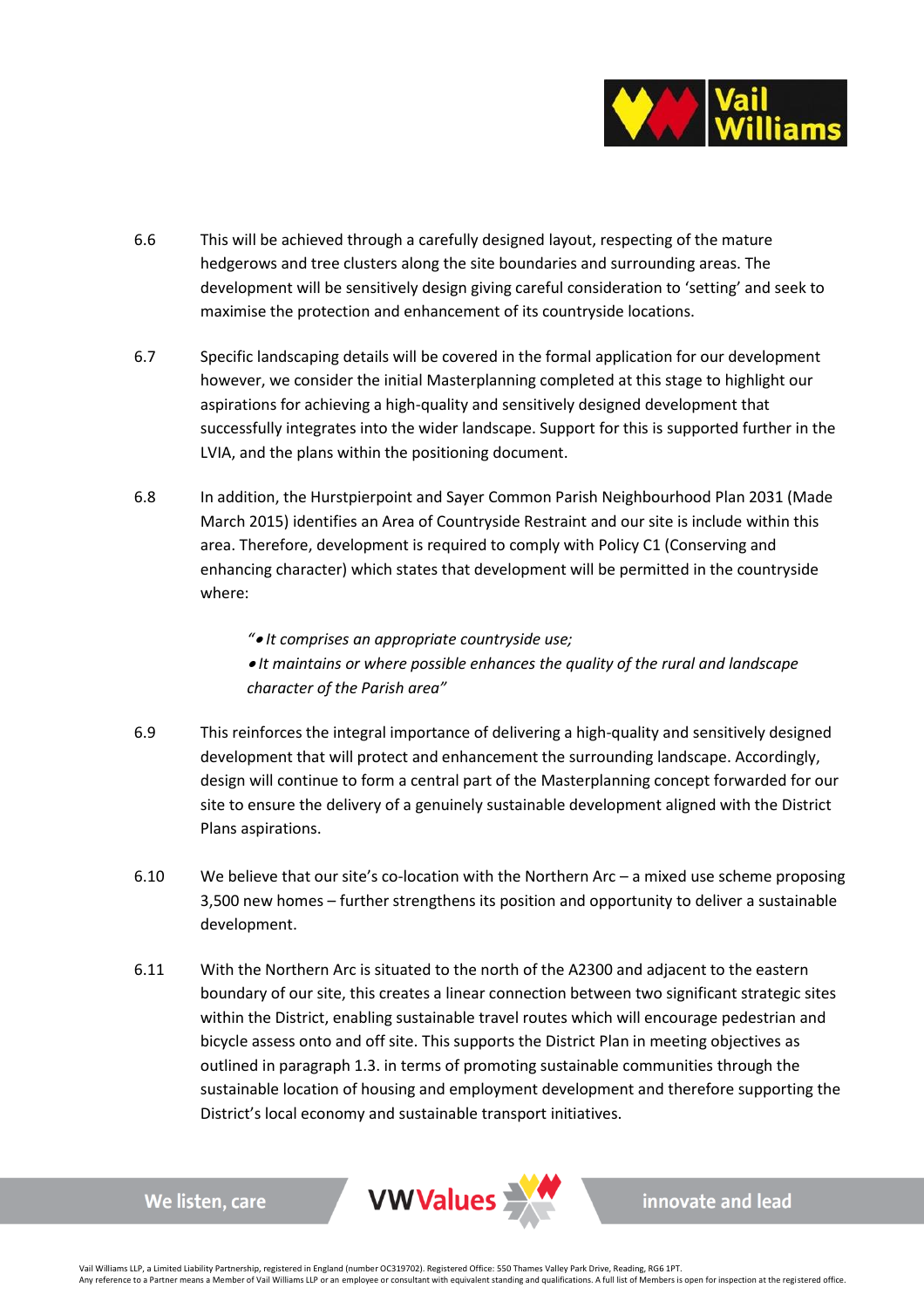

- 6.6 This will be achieved through a carefully designed layout, respecting of the mature hedgerows and tree clusters along the site boundaries and surrounding areas. The development will be sensitively design giving careful consideration to 'setting' and seek to maximise the protection and enhancement of its countryside locations.
- 6.7 Specific landscaping details will be covered in the formal application for our development however, we consider the initial Masterplanning completed at this stage to highlight our aspirations for achieving a high-quality and sensitively designed development that successfully integrates into the wider landscape. Support for this is supported further in the LVIA, and the plans within the positioning document.
- 6.8 In addition, the Hurstpierpoint and Sayer Common Parish Neighbourhood Plan 2031 (Made March 2015) identifies an Area of Countryside Restraint and our site is include within this area. Therefore, development is required to comply with Policy C1 (Conserving and enhancing character) which states that development will be permitted in the countryside where:

*"*• *It comprises an appropriate countryside use;* 

• *It maintains or where possible enhances the quality of the rural and landscape character of the Parish area"*

- 6.9 This reinforces the integral importance of delivering a high-quality and sensitively designed development that will protect and enhancement the surrounding landscape. Accordingly, design will continue to form a central part of the Masterplanning concept forwarded for our site to ensure the delivery of a genuinely sustainable development aligned with the District Plans aspirations.
- 6.10 We believe that our site's co-location with the Northern Arc a mixed use scheme proposing 3,500 new homes – further strengthens its position and opportunity to deliver a sustainable development.
- 6.11 With the Northern Arc is situated to the north of the A2300 and adjacent to the eastern boundary of our site, this creates a linear connection between two significant strategic sites within the District, enabling sustainable travel routes which will encourage pedestrian and bicycle assess onto and off site. This supports the District Plan in meeting objectives as outlined in paragraph 1.3. in terms of promoting sustainable communities through the sustainable location of housing and employment development and therefore supporting the District's local economy and sustainable transport initiatives.



We listen, care

innovate and lead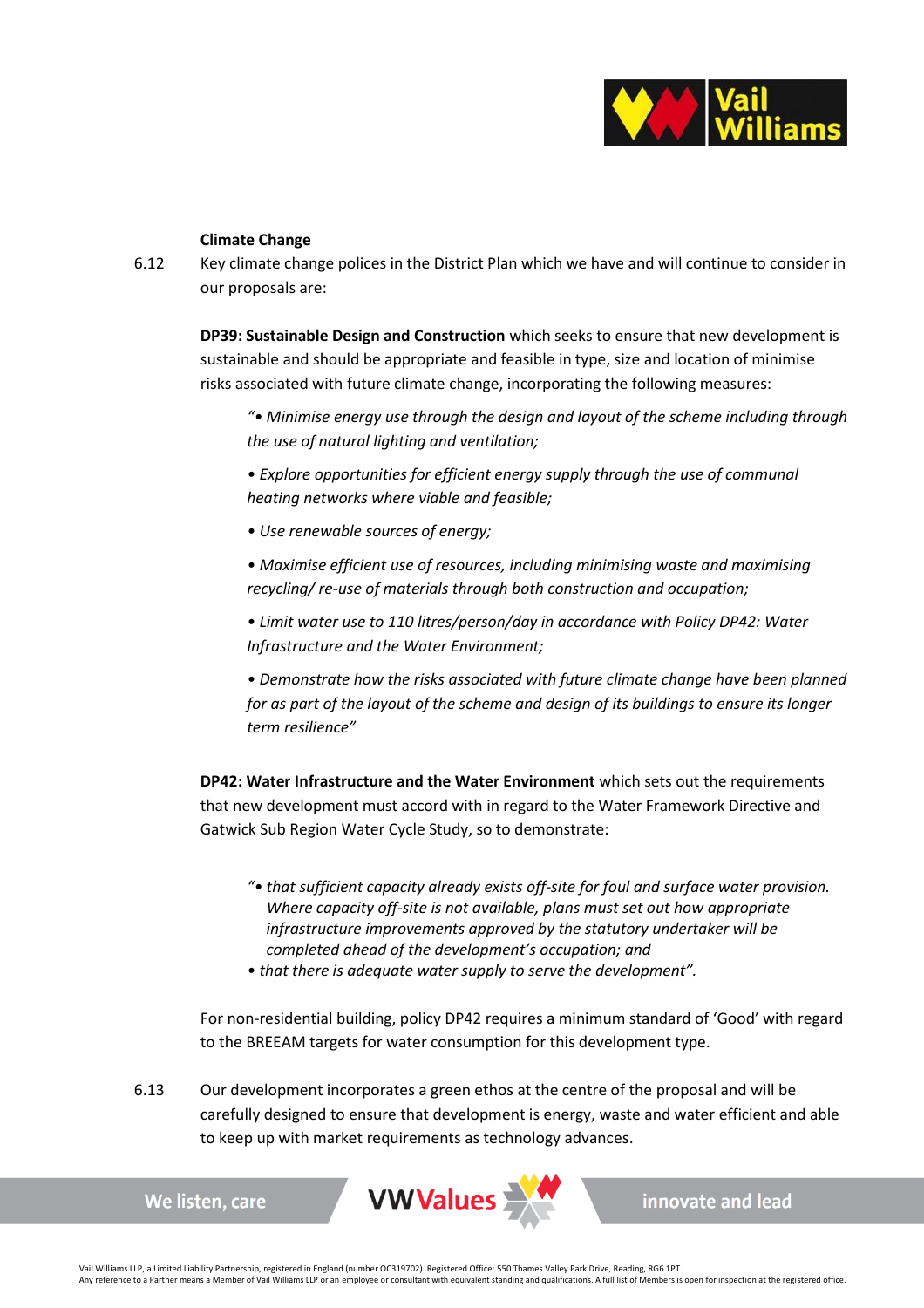

# **Climate Change**

6.12 Key climate change polices in the District Plan which we have and will continue to consider in our proposals are:

**DP39: Sustainable Design and Construction** which seeks to ensure that new development is sustainable and should be appropriate and feasible in type, size and location of minimise risks associated with future climate change, incorporating the following measures:

*"• Minimise energy use through the design and layout of the scheme including through the use of natural lighting and ventilation;* 

*• Explore opportunities for efficient energy supply through the use of communal heating networks where viable and feasible;* 

- *Use renewable sources of energy;*
- *Maximise efficient use of resources, including minimising waste and maximising recycling/ re-use of materials through both construction and occupation;*
- *Limit water use to 110 litres/person/day in accordance with Policy DP42: Water Infrastructure and the Water Environment;*

*• Demonstrate how the risks associated with future climate change have been planned for as part of the layout of the scheme and design of its buildings to ensure its longer term resilience"*

**DP42: Water Infrastructure and the Water Environment** which sets out the requirements that new development must accord with in regard to the Water Framework Directive and Gatwick Sub Region Water Cycle Study, so to demonstrate:

- *"• that sufficient capacity already exists off-site for foul and surface water provision. Where capacity off-site is not available, plans must set out how appropriate infrastructure improvements approved by the statutory undertaker will be completed ahead of the development's occupation; and*
- *that there is adequate water supply to serve the development".*

For non-residential building, policy DP42 requires a minimum standard of 'Good' with regard to the BREEAM targets for water consumption for this development type.

6.13 Our development incorporates a green ethos at the centre of the proposal and will be carefully designed to ensure that development is energy, waste and water efficient and able to keep up with market requirements as technology advances.



innovate and lead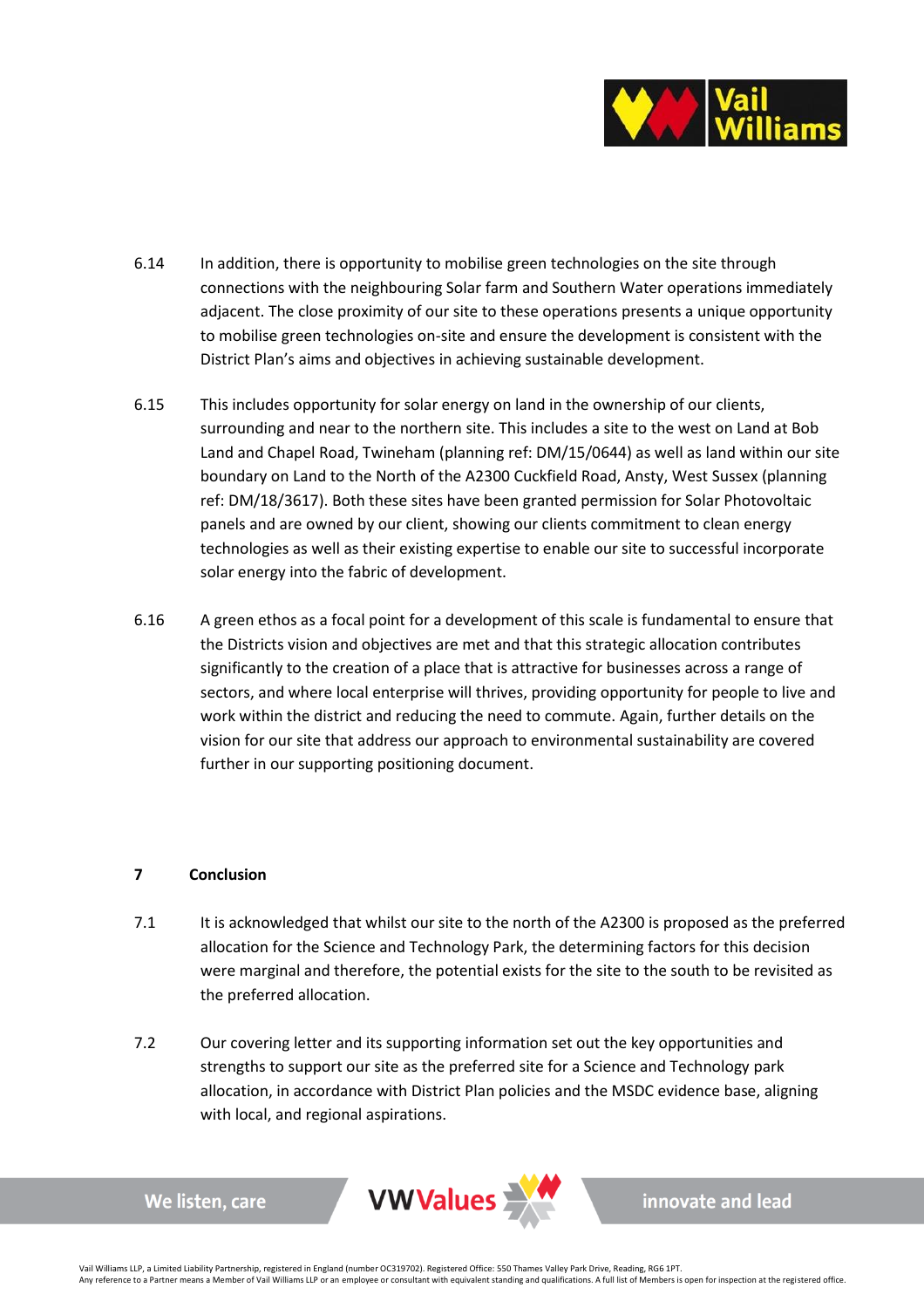

- 6.14 In addition, there is opportunity to mobilise green technologies on the site through connections with the neighbouring Solar farm and Southern Water operations immediately adjacent. The close proximity of our site to these operations presents a unique opportunity to mobilise green technologies on-site and ensure the development is consistent with the District Plan's aims and objectives in achieving sustainable development.
- 6.15 This includes opportunity for solar energy on land in the ownership of our clients, surrounding and near to the northern site. This includes a site to the west on Land at Bob Land and Chapel Road, Twineham (planning ref: DM/15/0644) as well as land within our site boundary on Land to the North of the A2300 Cuckfield Road, Ansty, West Sussex (planning ref: DM/18/3617). Both these sites have been granted permission for Solar Photovoltaic panels and are owned by our client, showing our clients commitment to clean energy technologies as well as their existing expertise to enable our site to successful incorporate solar energy into the fabric of development.
- 6.16 A green ethos as a focal point for a development of this scale is fundamental to ensure that the Districts vision and objectives are met and that this strategic allocation contributes significantly to the creation of a place that is attractive for businesses across a range of sectors, and where local enterprise will thrives, providing opportunity for people to live and work within the district and reducing the need to commute. Again, further details on the vision for our site that address our approach to environmental sustainability are covered further in our supporting positioning document.

# **7 Conclusion**

We listen, care

- 7.1 It is acknowledged that whilst our site to the north of the A2300 is proposed as the preferred allocation for the Science and Technology Park, the determining factors for this decision were marginal and therefore, the potential exists for the site to the south to be revisited as the preferred allocation.
- 7.2 Our covering letter and its supporting information set out the key opportunities and strengths to support our site as the preferred site for a Science and Technology park allocation, in accordance with District Plan policies and the MSDC evidence base, aligning with local, and regional aspirations.



innovate and lead